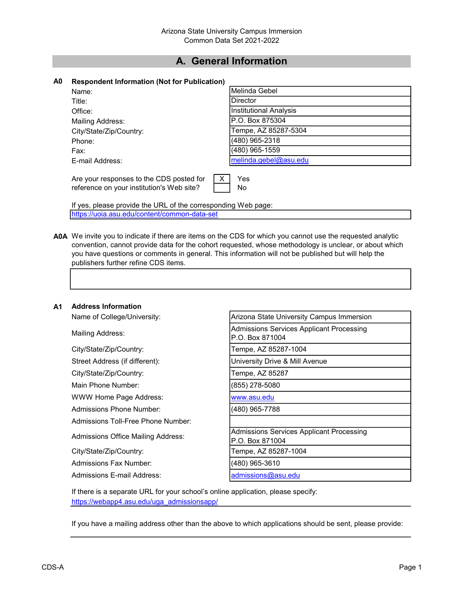## A. General Information

|  |  | A0 Respondent Information (Not for Publication) |  |  |
|--|--|-------------------------------------------------|--|--|
|--|--|-------------------------------------------------|--|--|

| Name:                                     | Melinda Gebel          |
|-------------------------------------------|------------------------|
| Title:                                    | Director               |
| Office:                                   | Institutional Analysis |
| Mailing Address:                          | P.O. Box 875304        |
| City/State/Zip/Country:                   | Tempe, AZ 85287-5304   |
| Phone:                                    | (480) 965-2318         |
| Fax:                                      | (480) 965-1559         |
| E-mail Address:                           | melinda.gebel@asu.edu  |
|                                           |                        |
| Are your responses to the CDS posted for  | Yes                    |
| reference on your institution's Web site? | No.                    |

If yes, please provide the URL of the corresponding Web page: https://uoia.asu.edu/content/common-data-set

A0A We invite you to indicate if there are items on the CDS for which you cannot use the requested analytic convention, cannot provide data for the cohort requested, whose methodology is unclear, or about which you have questions or comments in general. This information will not be published but will help the publishers further refine CDS items.

#### A1 Address Information

Name of College/University:

City/State/Zip/Country: Tempe, AZ 85287-1004

City/State/Zip/Country: Tempe, AZ 85287

Main Phone Number: (855) 278-5080

WWW Home Page Address: www.asu.edu

Admissions Phone Number: (480) 965-7788

Admissions Toll-Free Phone Number:

Admissions Fax Number: (480) 965-3610

Admissions E-mail Address: admissions and admissions and admissions and admissions and admissions and admissions and admissions and admissions and admissions and admissions and admissions and admissions and admissions and

| Arizona State University Campus Immersion       |  |
|-------------------------------------------------|--|
| LA discripcional Camiloga Applicant Discography |  |

Mailing Address: Analytic Processing Mailing Address: Admissions Services Applicant Processing P.O. Box 871004

Street Address (if different): University Drive & Mill Avenue

Admissions Office Mailing Address: Admissions Services Applicant Processing P.O. Box 871004 City/State/Zip/Country: Tempe, AZ 85287-1004

If there is a separate URL for your school's online application, please specify: https://webapp4.asu.edu/uga\_admissionsapp/

If you have a mailing address other than the above to which applications should be sent, please provide: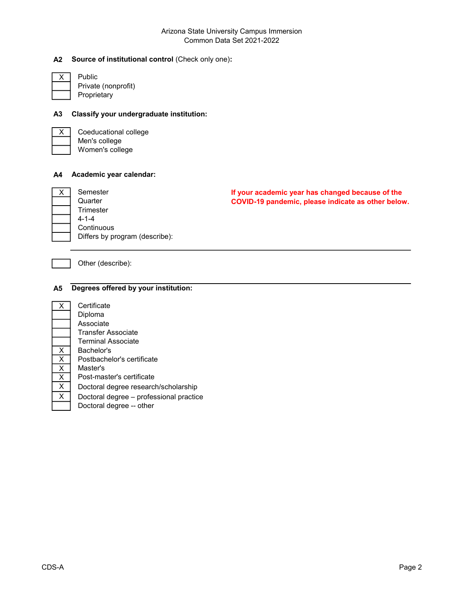#### Arizona State University Campus Immersion Common Data Set 2021-2022

## A2 Source of institutional control (Check only one):

Public Private (nonprofit) Proprietary

#### A3 Classify your undergraduate institution:



X Coeducational college Men's college Women's college

#### A4 Academic year calendar:

| Semester                       |
|--------------------------------|
| Quarter                        |
| Trimester                      |
| $4 - 1 - 4$                    |
| Continuous                     |
| Differs by program (describe): |

If your academic year has changed because of the COVID-19 pandemic, please indicate as other below.

Other (describe):

## A5 Degrees offered by your institution:

| Certificate                             |
|-----------------------------------------|
| Diploma                                 |
| Associate                               |
| Transfer Associate                      |
| Terminal Associate                      |
| Bachelor's                              |
| Postbachelor's certificate              |
| Master's                                |
| Post-master's certificate               |
| Doctoral degree research/scholarship    |
| Doctoral degree – professional practice |
| Doctoral degree -- other                |
|                                         |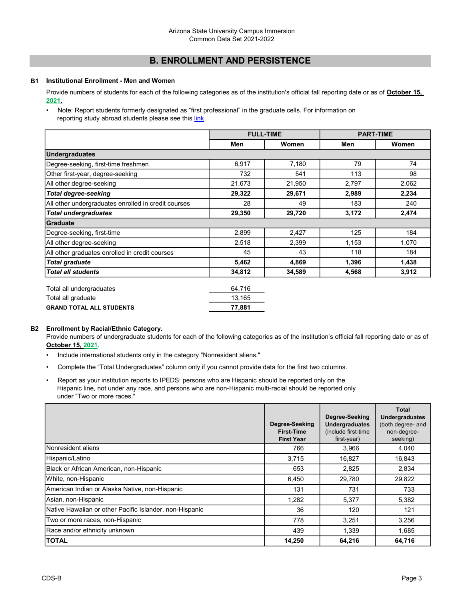## B. ENROLLMENT AND PERSISTENCE

#### B1 Institutional Enrollment - Men and Women

Provide numbers of students for each of the following categories as of the institution's official fall reporting date or as of October 15, 2021.

• Note: Report students formerly designated as "first professional" in the graduate cells. For information on reporting study abroad students please see this link.

|                                                     | <b>FULL-TIME</b> |        | <b>PART-TIME</b> |       |
|-----------------------------------------------------|------------------|--------|------------------|-------|
|                                                     | Men              | Women  | Men              | Women |
| Undergraduates                                      |                  |        |                  |       |
| Degree-seeking, first-time freshmen                 | 6,917            | 7,180  | 79               | 74    |
| Other first-year, degree-seeking                    | 732              | 541    | 113              | 98    |
| All other degree-seeking                            | 21,673           | 21,950 | 2,797            | 2,062 |
| <b>Total degree-seeking</b>                         | 29,322           | 29,671 | 2,989            | 2,234 |
| All other undergraduates enrolled in credit courses | 28               | 49     | 183              | 240   |
| <b>Total undergraduates</b>                         | 29,350           | 29,720 | 3,172            | 2,474 |
| <b>Graduate</b>                                     |                  |        |                  |       |
| Degree-seeking, first-time                          | 2,899            | 2,427  | 125              | 184   |
| All other degree-seeking                            | 2,518            | 2,399  | 1,153            | 1,070 |
| All other graduates enrolled in credit courses      | 45               | 43     | 118              | 184   |
| <b>Total graduate</b>                               | 5,462            | 4,869  | 1,396            | 1,438 |
| <b>Total all students</b>                           | 34,812           | 34,589 | 4,568            | 3,912 |
| Total all undergraduates                            | 64,716           |        |                  |       |

| <b>GRAND TOTAL ALL STUDENTS</b> | 77.881 |
|---------------------------------|--------|
| Total all graduate              | 13.165 |
| I otal all undergraduates       | 64.716 |

#### B2 Enrollment by Racial/Ethnic Category.

Provide numbers of undergraduate students for each of the following categories as of the institution's official fall reporting date or as of October 15, 2021.

- Include international students only in the category "Nonresident aliens."
- Complete the "Total Undergraduates" column only if you cannot provide data for the first two columns.
- Report as your institution reports to IPEDS: persons who are Hispanic should be reported only on the Hispanic line, not under any race, and persons who are non-Hispanic multi-racial should be reported only under "Two or more races."

|                                                         | Degree-Seeking<br><b>First-Time</b><br><b>First Year</b> | Degree-Seeking<br><b>Undergraduates</b><br>(include first-time)<br>first-year) | <b>Total</b><br><b>Undergraduates</b><br>(both degree- and<br>non-degree-<br>seeking) |
|---------------------------------------------------------|----------------------------------------------------------|--------------------------------------------------------------------------------|---------------------------------------------------------------------------------------|
| Nonresident aliens                                      | 766                                                      | 3,966                                                                          | 4,040                                                                                 |
| Hispanic/Latino                                         | 3,715                                                    | 16,827                                                                         | 16,843                                                                                |
| Black or African American, non-Hispanic                 | 653                                                      | 2,825                                                                          | 2,834                                                                                 |
| White, non-Hispanic                                     | 6,450                                                    | 29,780                                                                         | 29,822                                                                                |
| American Indian or Alaska Native, non-Hispanic          | 131                                                      | 731                                                                            | 733                                                                                   |
| Asian, non-Hispanic                                     | 1,282                                                    | 5,377                                                                          | 5,382                                                                                 |
| Native Hawaiian or other Pacific Islander, non-Hispanic | 36                                                       | 120                                                                            | 121                                                                                   |
| Two or more races, non-Hispanic                         | 778                                                      | 3,251                                                                          | 3,256                                                                                 |
| Race and/or ethnicity unknown                           | 439                                                      | 1,339                                                                          | 1,685                                                                                 |
| <b>TOTAL</b>                                            | 14,250                                                   | 64,216                                                                         | 64,716                                                                                |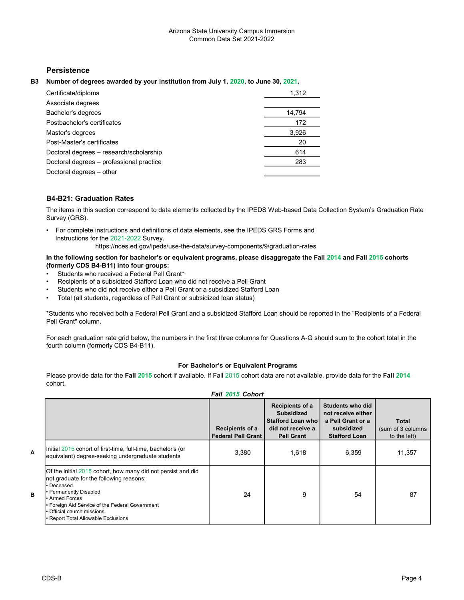## **Persistence**

#### B3 Number of degrees awarded by your institution from July 1, 2020, to June 30, 2021.

| Certificate/diploma                      | 1,312  |
|------------------------------------------|--------|
| Associate degrees                        |        |
| Bachelor's degrees                       | 14,794 |
| Postbachelor's certificates              | 172    |
| Master's degrees                         | 3,926  |
| Post-Master's certificates               | 20     |
| Doctoral degrees - research/scholarship  | 614    |
| Doctoral degrees - professional practice | 283    |
| Doctoral degrees - other                 |        |

#### B4-B21: Graduation Rates

The items in this section correspond to data elements collected by the IPEDS Web-based Data Collection System's Graduation Rate Survey (GRS).

• For complete instructions and definitions of data elements, see the IPEDS GRS Forms and Instructions for the 2021-2022 Survey.

https://nces.ed.gov/ipeds/use-the-data/survey-components/9/graduation-rates

#### In the following section for bachelor's or equivalent programs, please disaggregate the Fall 2014 and Fall 2015 cohorts (formerly CDS B4-B11) into four groups:

- Students who received a Federal Pell Grant\*
- Recipients of a subsidized Stafford Loan who did not receive a Pell Grant
- Students who did not receive either a Pell Grant or a subsidized Stafford Loan
- Total (all students, regardless of Pell Grant or subsidized loan status)

\*Students who received both a Federal Pell Grant and a subsidized Stafford Loan should be reported in the "Recipients of a Federal Pell Grant" column.

For each graduation rate grid below, the numbers in the first three columns for Questions A-G should sum to the cohort total in the fourth column (formerly CDS B4-B11).

#### For Bachelor's or Equivalent Programs

Fall 2015 Cohort

Please provide data for the Fall 2015 cohort if available. If Fall 2015 cohort data are not available, provide data for the Fall 2014 cohort.

|                                                                                                                                                                                                                                                                                     | Recipients of a<br><b>Federal Pell Grant</b> | Recipients of a<br><b>Subsidized</b><br>Stafford Loan who<br>did not receive a<br><b>Pell Grant</b> | Students who did<br>not receive either<br>a Pell Grant or a<br>subsidized<br><b>Stafford Loan</b> | Total<br>(sum of 3 columns)<br>to the left) |
|-------------------------------------------------------------------------------------------------------------------------------------------------------------------------------------------------------------------------------------------------------------------------------------|----------------------------------------------|-----------------------------------------------------------------------------------------------------|---------------------------------------------------------------------------------------------------|---------------------------------------------|
| Initial 2015 cohort of first-time, full-time, bachelor's (or<br>equivalent) degree-seeking undergraduate students                                                                                                                                                                   | 3,380                                        | 1,618                                                                                               | 6,359                                                                                             | 11,357                                      |
| Of the initial 2015 cohort, how many did not persist and did<br>not graduate for the following reasons:<br>Deceased<br>• Permanently Disabled<br>• Armed Forces<br>• Foreign Aid Service of the Federal Government<br>Official church missions<br>Report Total Allowable Exclusions | 24                                           | 9                                                                                                   | 54                                                                                                | 87                                          |

A

B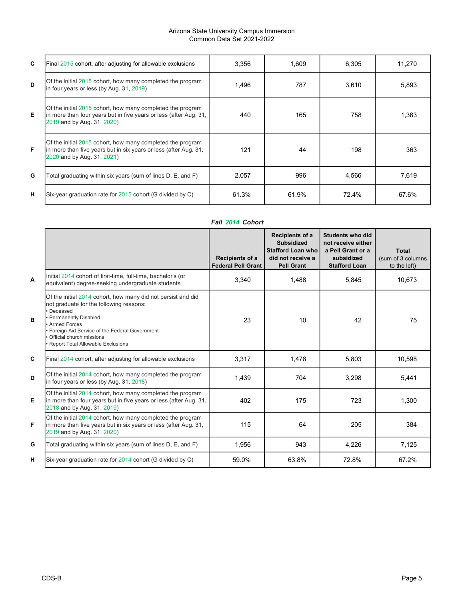#### Arizona State University Campus Immersion Common Data Set 2021-2022

| C | Final 2015 cohort, after adjusting for allowable exclusions                                                                                                   | 3,356 | 1,609 | 6,305 | 11,270 |
|---|---------------------------------------------------------------------------------------------------------------------------------------------------------------|-------|-------|-------|--------|
| D | Of the initial 2015 cohort, how many completed the program<br>in four years or less (by Aug. 31, 2019)                                                        | 1,496 | 787   | 3,610 | 5,893  |
| Е | Of the initial 2015 cohort, how many completed the program<br>In more than four years but in five years or less (after Aug. 31,<br>2019 and by Aug. 31, 2020) | 440   | 165   | 758   | 1,363  |
| F | Of the initial 2015 cohort, how many completed the program<br>In more than five years but in six years or less (after Aug. 31,<br>2020 and by Aug. 31, 2021)  | 121   | 44    | 198   | 363    |
| G | Total graduating within six years (sum of lines D, E, and F)                                                                                                  | 2,057 | 996   | 4,566 | 7,619  |
| н | Six-year graduation rate for 2015 cohort (G divided by C)                                                                                                     | 61.3% | 61.9% | 72.4% | 67.6%  |

## Fall 2014 Cohort

|   |                                                                                                                                                                                                                                                                                          | Recipients of a<br><b>Federal Pell Grant</b> | Recipients of a<br><b>Subsidized</b><br><b>Stafford Loan who</b><br>did not receive a<br><b>Pell Grant</b> | Students who did<br>not receive either<br>a Pell Grant or a<br>subsidized<br><b>Stafford Loan</b> | <b>Total</b><br>(sum of 3 columns<br>to the left) |
|---|------------------------------------------------------------------------------------------------------------------------------------------------------------------------------------------------------------------------------------------------------------------------------------------|----------------------------------------------|------------------------------------------------------------------------------------------------------------|---------------------------------------------------------------------------------------------------|---------------------------------------------------|
| A | Initial 2014 cohort of first-time, full-time, bachelor's (or<br>equivalent) degree-seeking undergraduate students                                                                                                                                                                        | 3,340                                        | 1,488                                                                                                      | 5,845                                                                                             | 10,673                                            |
| B | Of the initial 2014 cohort, how many did not persist and did<br>not graduate for the following reasons:<br>· Deceased<br>• Permanently Disabled<br>Armed Forces<br>Foreign Aid Service of the Federal Government<br>Official church missions<br><b>Report Total Allowable Exclusions</b> | 23                                           | 10                                                                                                         | 42                                                                                                | 75                                                |
| C | Final 2014 cohort, after adjusting for allowable exclusions                                                                                                                                                                                                                              | 3,317                                        | 1,478                                                                                                      | 5,803                                                                                             | 10,598                                            |
| D | Of the initial 2014 cohort, how many completed the program<br>in four years or less (by Aug. 31, 2018)                                                                                                                                                                                   | 1,439                                        | 704                                                                                                        | 3,298                                                                                             | 5,441                                             |
| Е | Of the initial 2014 cohort, how many completed the program<br>in more than four years but in five years or less (after Aug. 31,<br>2018 and by Aug. 31, 2019)                                                                                                                            | 402                                          | 175                                                                                                        | 723                                                                                               | 1,300                                             |
| F | Of the initial 2014 cohort, how many completed the program<br>in more than five years but in six years or less (after Aug. 31,<br>2019 and by Aug. 31, 2020)                                                                                                                             | 115                                          | 64                                                                                                         | 205                                                                                               | 384                                               |
| G | Total graduating within six years (sum of lines D, E, and F)                                                                                                                                                                                                                             | 1,956                                        | 943                                                                                                        | 4,226                                                                                             | 7,125                                             |
| н | Six-year graduation rate for 2014 cohort (G divided by C)                                                                                                                                                                                                                                | 59.0%                                        | 63.8%                                                                                                      | 72.8%                                                                                             | 67.2%                                             |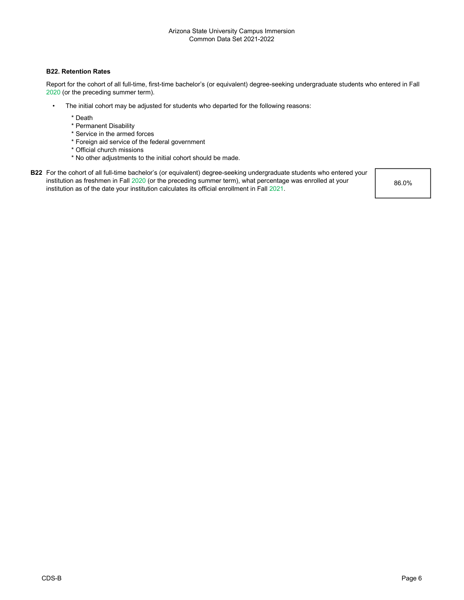#### B22. Retention Rates

Report for the cohort of all full-time, first-time bachelor's (or equivalent) degree-seeking undergraduate students who entered in Fall 2020 (or the preceding summer term).

- The initial cohort may be adjusted for students who departed for the following reasons:
	- \* Death
	- \* Permanent Disability
	- \* Service in the armed forces
	- \* Foreign aid service of the federal government
	- \* Official church missions
	- \* No other adjustments to the initial cohort should be made.
- B22 For the cohort of all full-time bachelor's (or equivalent) degree-seeking undergraduate students who entered your institution as freshmen in Fall 2020 (or the preceding summer term), what percentage was enrolled at your institution as of the date your institution calculates its official enrollment in Fall 2021.

86.0%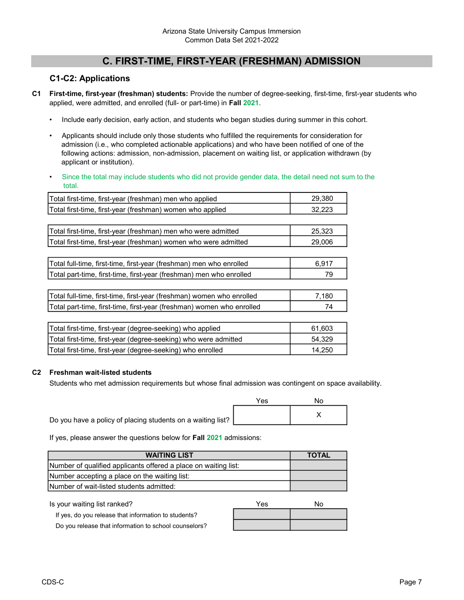## C. FIRST-TIME, FIRST-YEAR (FRESHMAN) ADMISSION

## C1-C2: Applications

- C1 First-time, first-year (freshman) students: Provide the number of degree-seeking, first-time, first-year students who applied, were admitted, and enrolled (full- or part-time) in Fall 2021.
	- Include early decision, early action, and students who began studies during summer in this cohort.
	- Applicants should include only those students who fulfilled the requirements for consideration for admission (i.e., who completed actionable applications) and who have been notified of one of the following actions: admission, non-admission, placement on waiting list, or application withdrawn (by applicant or institution).
	- Since the total may include students who did not provide gender data, the detail need not sum to the total.

| Total first-time, first-year (freshman) men who applied               | 29,380    |
|-----------------------------------------------------------------------|-----------|
| Total first-time, first-year (freshman) women who applied             | 32,223    |
|                                                                       |           |
| Total first-time, first-year (freshman) men who were admitted         | 25,323    |
| Total first-time, first-year (freshman) women who were admitted       | 29,006    |
|                                                                       |           |
| Total full-time, first-time, first-year (freshman) men who enrolled   | 6,917     |
| Total part-time, first-time, first-year (freshman) men who enrolled   | 79        |
|                                                                       |           |
| Total full-time, first-time, first-year (freshman) women who enrolled | 7,180     |
| Total part-time, first-time, first-year (freshman) women who enrolled | 74        |
|                                                                       |           |
| Total first-time, first-year (degree-seeking) who applied             | 61,603    |
| Total first times, first voor (deerse esolving) who ware admitted     | $E A$ 220 |

| Total first-time, first-year (degree-seeking) who were admitted | 54.329 |
|-----------------------------------------------------------------|--------|
| Total first-time, first-year (degree-seeking) who enrolled      | 14.250 |
|                                                                 |        |

#### C2 Freshman wait-listed students

Students who met admission requirements but whose final admission was contingent on space availability.

|                                                             | Yes | NΩ |
|-------------------------------------------------------------|-----|----|
| Do you have a policy of placing students on a waiting list? |     |    |

If yes, please answer the questions below for Fall 2021 admissions:

| <b>WAITING LIST</b>                                             | <b>TOTAL</b> |
|-----------------------------------------------------------------|--------------|
| Number of qualified applicants offered a place on waiting list: |              |
| Number accepting a place on the waiting list:                   |              |
| INumber of wait-listed students admitted:                       |              |

| Is your waiting list ranked?                          | Yes | No. |
|-------------------------------------------------------|-----|-----|
| If yes, do you release that information to students?  |     |     |
| Do you release that information to school counselors? |     |     |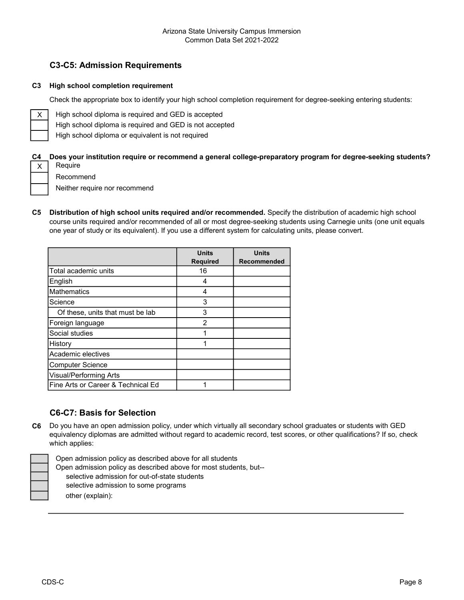## C3-C5: Admission Requirements

#### C3 High school completion requirement

Check the appropriate box to identify your high school completion requirement for degree-seeking entering students:

High school diploma is required and GED is accepted

High school diploma is required and GED is not accepted

High school diploma or equivalent is not required

#### C4 Does your institution require or recommend a general college-preparatory program for degree-seeking students? X Require

Recommend

Neither require nor recommend

C5 Distribution of high school units required and/or recommended. Specify the distribution of academic high school course units required and/or recommended of all or most degree-seeking students using Carnegie units (one unit equals one year of study or its equivalent). If you use a different system for calculating units, please convert.

|                                    | <b>Units</b><br><b>Required</b> | <b>Units</b><br>Recommended |
|------------------------------------|---------------------------------|-----------------------------|
| Total academic units               | 16                              |                             |
| English                            | 4                               |                             |
| <b>Mathematics</b>                 | 4                               |                             |
| Science                            | 3                               |                             |
| Of these, units that must be lab   | 3                               |                             |
| Foreign language                   | 2                               |                             |
| Social studies                     | 1                               |                             |
| History                            | 1                               |                             |
| Academic electives                 |                                 |                             |
| <b>Computer Science</b>            |                                 |                             |
| Visual/Performing Arts             |                                 |                             |
| Fine Arts or Career & Technical Ed |                                 |                             |

## C6-C7: Basis for Selection

C6 Do you have an open admission policy, under which virtually all secondary school graduates or students with GED equivalency diplomas are admitted without regard to academic record, test scores, or other qualifications? If so, check which applies:



Open admission policy as described above for all students

Open admission policy as described above for most students, but--

selective admission for out-of-state students

selective admission to some programs

other (explain):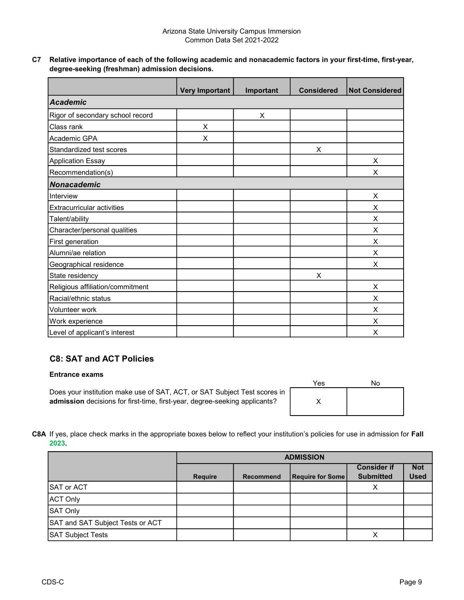C7 Relative importance of each of the following academic and nonacademic factors in your first-time, first-year, degree-seeking (freshman) admission decisions.

|                                   | <b>Very Important</b> | Important | <b>Considered</b> | <b>Not Considered</b> |
|-----------------------------------|-----------------------|-----------|-------------------|-----------------------|
| <b>Academic</b>                   |                       |           |                   |                       |
| Rigor of secondary school record  |                       | X         |                   |                       |
| Class rank                        | X                     |           |                   |                       |
| Academic GPA                      | X                     |           |                   |                       |
| Standardized test scores          |                       |           | X                 |                       |
| <b>Application Essay</b>          |                       |           |                   | X                     |
| Recommendation(s)                 |                       |           |                   | X                     |
| Nonacademic                       |                       |           |                   |                       |
| Interview                         |                       |           |                   | X                     |
| <b>Extracurricular activities</b> |                       |           |                   | X                     |
| Talent/ability                    |                       |           |                   | X                     |
| Character/personal qualities      |                       |           |                   | X                     |
| First generation                  |                       |           |                   | X                     |
| Alumni/ae relation                |                       |           |                   | X                     |
| Geographical residence            |                       |           |                   | X                     |
| State residency                   |                       |           | X                 |                       |
| Religious affiliation/commitment  |                       |           |                   | X                     |
| Racial/ethnic status              |                       |           |                   | X                     |
| Volunteer work                    |                       |           |                   | X                     |
| Work experience                   |                       |           |                   | X                     |
| Level of applicant's interest     |                       |           |                   | X                     |

## C8: SAT and ACT Policies

#### Entrance exams

Does your institution make use of SAT, ACT, or SAT Subject Test scores in admission decisions for first-time, first-year, degree-seeking applicants?

| Yes | No |
|-----|----|
|     |    |

C8A If yes, place check marks in the appropriate boxes below to reflect your institution's policies for use in admission for Fall 2023.

|                                  | <b>ADMISSION</b> |           |                         |                                        |                           |
|----------------------------------|------------------|-----------|-------------------------|----------------------------------------|---------------------------|
|                                  | <b>Require</b>   | Recommend | <b>Require for Some</b> | <b>Consider if</b><br><b>Submitted</b> | <b>Not</b><br><b>Used</b> |
| SAT or ACT                       |                  |           |                         | Χ                                      |                           |
| <b>ACT Only</b>                  |                  |           |                         |                                        |                           |
| SAT Only                         |                  |           |                         |                                        |                           |
| SAT and SAT Subject Tests or ACT |                  |           |                         |                                        |                           |
| <b>SAT Subject Tests</b>         |                  |           |                         |                                        |                           |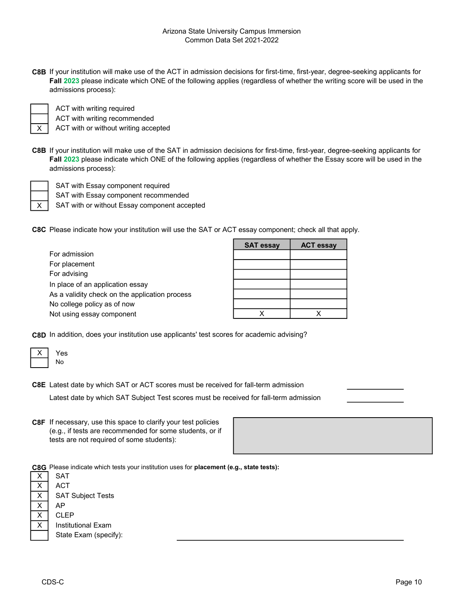C8B If your institution will make use of the ACT in admission decisions for first-time, first-year, degree-seeking applicants for Fall 2023 please indicate which ONE of the following applies (regardless of whether the writing score will be used in the admissions process):

X

ACT with writing required ACT with writing recommended

ACT with or without writing accepted

C8B If your institution will make use of the SAT in admission decisions for first-time, first-year, degree-seeking applicants for Fall 2023 please indicate which ONE of the following applies (regardless of whether the Essay score will be used in the admissions process):



SAT with or without Essay component accepted SAT with Essay component recommended SAT with Essay component required

C8C Please indicate how your institution will use the SAT or ACT essay component; check all that apply.

|                                                | <b>SAT essay</b> | <b>ACT essay</b> |
|------------------------------------------------|------------------|------------------|
| For admission                                  |                  |                  |
| For placement                                  |                  |                  |
| For advising                                   |                  |                  |
| In place of an application essay               |                  |                  |
| As a validity check on the application process |                  |                  |
| No college policy as of now                    |                  |                  |
| Not using essay component                      |                  |                  |

C8D In addition, does your institution use applicants' test scores for academic advising?

C8E Latest date by which SAT or ACT scores must be received for fall-term admission

Latest date by which SAT Subject Test scores must be received for fall-term admission

C8F If necessary, use this space to clarify your test policies (e.g., if tests are recommended for some students, or if tests are not required of some students):

| <u> 1989 - Johann Stoff, deutscher Stoffen und der Stoffen und der Stoffen und der Stoffen und der Stoffen und der</u> |  |  |
|------------------------------------------------------------------------------------------------------------------------|--|--|
|                                                                                                                        |  |  |
|                                                                                                                        |  |  |
|                                                                                                                        |  |  |
|                                                                                                                        |  |  |

C8G Please indicate which tests your institution uses for placement (e.g., state tests):

|   | <b>SAT</b>                |
|---|---------------------------|
|   | <b>ACT</b>                |
|   | <b>SAT Subject Tests</b>  |
| x | АP                        |
|   | CLEP                      |
|   | <b>Institutional Exam</b> |
|   | State Exam (specify):     |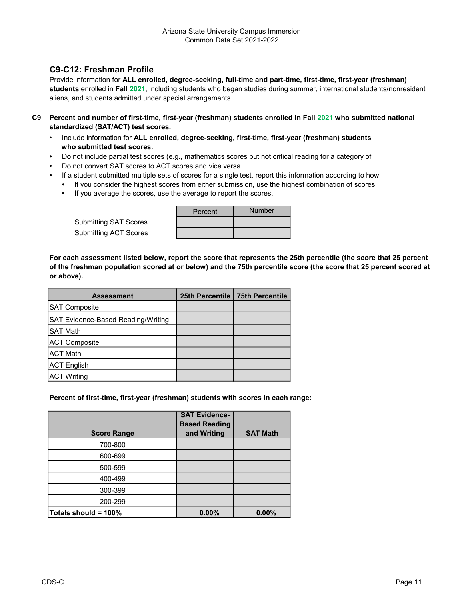## C9-C12: Freshman Profile

Provide information for ALL enrolled, degree-seeking, full-time and part-time, first-time, first-year (freshman) students enrolled in Fall 2021, including students who began studies during summer, international students/nonresident aliens, and students admitted under special arrangements.

- C9 Percent and number of first-time, first-year (freshman) students enrolled in Fall 2021 who submitted national standardized (SAT/ACT) test scores.
	- Include information for ALL enrolled, degree-seeking, first-time, first-year (freshman) students who submitted test scores.
	- Do not include partial test scores (e.g., mathematics scores but not critical reading for a category of
	- Do not convert SAT scores to ACT scores and vice versa.
	- If a student submitted multiple sets of scores for a single test, report this information according to how
		- If you consider the highest scores from either submission, use the highest combination of scores
			- If you average the scores, use the average to report the scores.

| <b>Submitting SAT Scores</b> |  |
|------------------------------|--|
| <b>Submitting ACT Scores</b> |  |

| Percent | <b>Number</b> |
|---------|---------------|
|         |               |
|         |               |

For each assessment listed below, report the score that represents the 25th percentile (the score that 25 percent of the freshman population scored at or below) and the 75th percentile score (the score that 25 percent scored at or above).

| <b>Assessment</b>                  | 25th Percentile | <b>75th Percentile</b> |
|------------------------------------|-----------------|------------------------|
| <b>SAT Composite</b>               |                 |                        |
| SAT Evidence-Based Reading/Writing |                 |                        |
| <b>SAT Math</b>                    |                 |                        |
| <b>ACT Composite</b>               |                 |                        |
| <b>ACT Math</b>                    |                 |                        |
| <b>ACT English</b>                 |                 |                        |
| <b>ACT Writing</b>                 |                 |                        |

#### Percent of first-time, first-year (freshman) students with scores in each range:

| <b>Score Range</b>   | <b>SAT Evidence-</b><br><b>Based Reading</b><br>and Writing | <b>SAT Math</b> |
|----------------------|-------------------------------------------------------------|-----------------|
| 700-800              |                                                             |                 |
| 600-699              |                                                             |                 |
| 500-599              |                                                             |                 |
| 400-499              |                                                             |                 |
| 300-399              |                                                             |                 |
| 200-299              |                                                             |                 |
| Totals should = 100% | 0.00%                                                       | 0.00%           |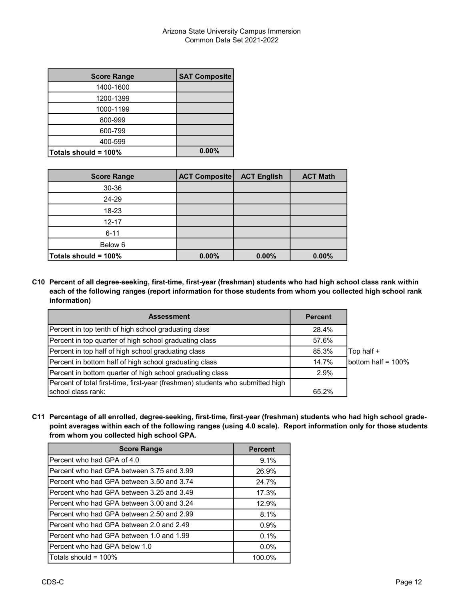| <b>Score Range</b>   | <b>SAT Composite</b> |
|----------------------|----------------------|
| 1400-1600            |                      |
| 1200-1399            |                      |
| 1000-1199            |                      |
| 800-999              |                      |
| 600-799              |                      |
| 400-599              |                      |
| Totals should = 100% | 0.00%                |

| <b>Score Range</b>   | <b>ACT Composite</b> | <b>ACT English</b> | <b>ACT Math</b> |
|----------------------|----------------------|--------------------|-----------------|
| 30-36                |                      |                    |                 |
| 24-29                |                      |                    |                 |
| 18-23                |                      |                    |                 |
| $12 - 17$            |                      |                    |                 |
| $6 - 11$             |                      |                    |                 |
| Below 6              |                      |                    |                 |
| Totals should = 100% | 0.00%                | 0.00%              | 0.00%           |

C10 Percent of all degree-seeking, first-time, first-year (freshman) students who had high school class rank within each of the following ranges (report information for those students from whom you collected high school rank information)

| <b>Assessment</b>                                                              | <b>Percent</b> |                       |
|--------------------------------------------------------------------------------|----------------|-----------------------|
| Percent in top tenth of high school graduating class                           | 28.4%          |                       |
| Percent in top quarter of high school graduating class                         | 57.6%          |                       |
| Percent in top half of high school graduating class                            | 85.3%          | Top half +            |
| Percent in bottom half of high school graduating class                         | 14.7%          | bottom half = $100\%$ |
| Percent in bottom quarter of high school graduating class                      | 2.9%           |                       |
| Percent of total first-time, first-year (freshmen) students who submitted high |                |                       |
| school class rank:                                                             | 65.2%          |                       |

C11 Percentage of all enrolled, degree-seeking, first-time, first-year (freshman) students who had high school gradepoint averages within each of the following ranges (using 4.0 scale). Report information only for those students from whom you collected high school GPA.

| <b>Score Range</b>                          | <b>Percent</b> |
|---------------------------------------------|----------------|
| IPercent who had GPA of 4.0                 | 9.1%           |
| IPercent who had GPA between 3.75 and 3.99  | 26.9%          |
| IPercent who had GPA between 3.50 and 3.74  | 24.7%          |
| IPercent who had GPA between 3.25 and 3.49  | 17.3%          |
| IPercent who had GPA between 3.00 and 3.24. | 12.9%          |
| IPercent who had GPA between 2.50 and 2.99. | 8.1%           |
| IPercent who had GPA between 2.0 and 2.49.  | 0.9%           |
| IPercent who had GPA between 1.0 and 1.99   | 0.1%           |
| IPercent who had GPA below 1.0              | $0.0\%$        |
| Totals should = 100%                        | 100.0%         |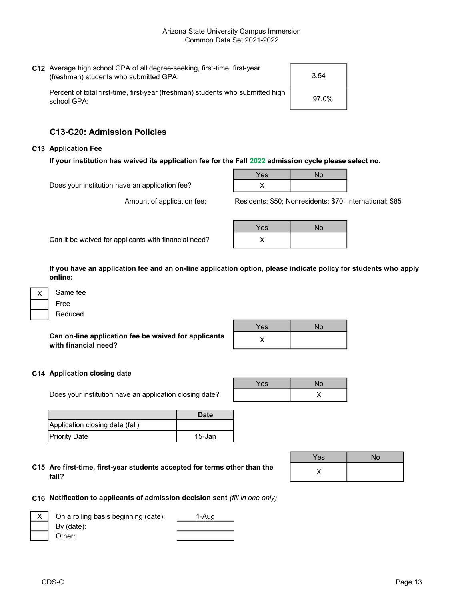| C12 Average high school GPA of all degree-seeking, first-time, first-year<br>(freshman) students who submitted GPA: | 3.54  |
|---------------------------------------------------------------------------------------------------------------------|-------|
| Percent of total first-time, first-year (freshman) students who submitted high<br>school GPA:                       | 97.0% |

## C13-C20: Admission Policies

#### C13 Application Fee

If your institution has waived its application fee for the Fall 2022 admission cycle please select no.

Does your institution have an application fee?

Amount of application fee:

| Yes | $\overline{1}$<br>۹∪ |
|-----|----------------------|
| . . |                      |

Residents: \$50; Nonresidents: \$70; International: \$85

Can it be waived for applicants with financial need?

| Yes | <b>No</b> |
|-----|-----------|
|     |           |

If you have an application fee and an on-line application option, please indicate policy for students who apply online:

| Same fee |  |
|----------|--|
| Free     |  |
| Reduced  |  |

Can on-line application fee be waived for applicants with financial need?

| Yes | No |
|-----|----|
|     |    |

Yes | No

X

#### C14 Application closing date

Does your institution have an application closing date?

|                                 | Date   |
|---------------------------------|--------|
| Application closing date (fall) |        |
| Priority Date                   | 15-Jan |

C15 Are first-time, first-year students accepted for terms other than the  $\times$ fall?

| <b>Yes</b> | No |
|------------|----|
|            |    |

#### C16 Notification to applicants of admission decision sent (fill in one only)

| $X$ On a rolling basis beginning (date): | 1-Aug |
|------------------------------------------|-------|
| By (date):                               |       |
| Other:                                   |       |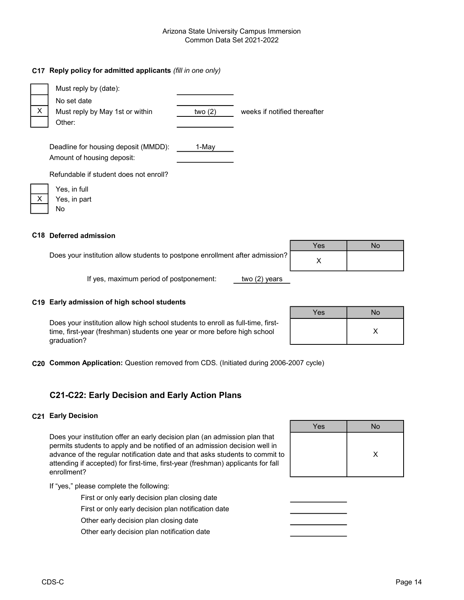#### Arizona State University Campus Immersion Common Data Set 2021-2022

#### C17 Reply policy for admitted applicants (fill in one only)

|              | Must reply by (date):                  |           |                              |
|--------------|----------------------------------------|-----------|------------------------------|
|              | No set date                            |           |                              |
| $\mathsf{X}$ | Must reply by May 1st or within        | two $(2)$ | weeks if notified thereafter |
|              | Other:                                 |           |                              |
|              |                                        |           |                              |
|              | Deadline for housing deposit (MMDD):   | 1-May     |                              |
|              | Amount of housing deposit:             |           |                              |
|              | Refundable if student does not enroll? |           |                              |
|              | Yes, in full                           |           |                              |
| X            | Yes, in part                           |           |                              |

#### C18 Deferred admission

No

|                                                                              | Yes | Νo |
|------------------------------------------------------------------------------|-----|----|
| Does your institution allow students to postpone enrollment after admission? |     |    |
| If yes, maximum period of postponement:<br>two $(2)$ years                   |     |    |

#### C19 Early admission of high school students

Does your institution allow high school students to enroll as full-time, firsttime, first-year (freshman) students one year or more before high school graduation?

| Yes | No |
|-----|----|
|     |    |
|     |    |

C20 Common Application: Question removed from CDS. (Initiated during 2006-2007 cycle)

## C21-C22: Early Decision and Early Action Plans

#### C21 Early Decision

Does your institution offer an early decision plan (an admission plan that permits students to apply and be notified of an admission decision well in advance of the regular notification date and that asks students to commit to attending if accepted) for first-time, first-year (freshman) applicants for fall enrollment?

If "yes," please complete the following:

First or only early decision plan closing date

First or only early decision plan notification date

Other early decision plan closing date

Other early decision plan notification date

| Yes | <b>No</b> |
|-----|-----------|
|     | X         |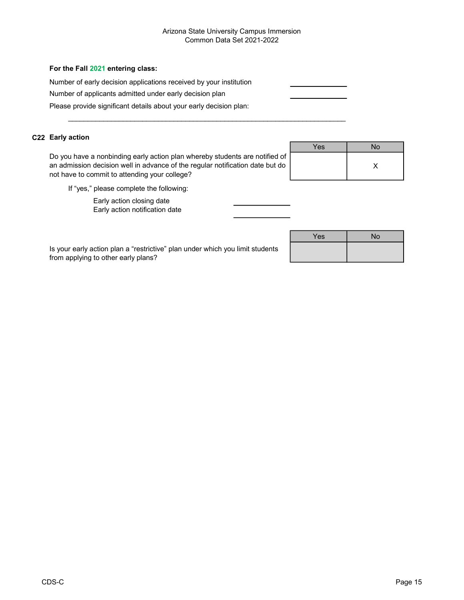#### Arizona State University Campus Immersion Common Data Set 2021-2022

#### For the Fall 2021 entering class:

Number of early decision applications received by your institution

 $\mathcal{L}_\text{max}$  , and the contribution of the contribution of the contribution of the contribution of the contribution of the contribution of the contribution of the contribution of the contribution of the contribution of t

Number of applicants admitted under early decision plan

Please provide significant details about your early decision plan:

#### C22 Early action

Do you have a nonbinding early action plan whereby students are notified of an admission decision well in advance of the regular notification date but do not have to commit to attending your college?

|   | Yes | <b>No</b> |
|---|-----|-----------|
| c |     |           |
| נ |     |           |
|   |     |           |

If "yes," please complete the following:

Early action closing date

Early action notification date

| Is your early action plan a "restrictive" plan under which you limit students |  |
|-------------------------------------------------------------------------------|--|
| from applying to other early plans?                                           |  |

| Yes | No |
|-----|----|
|     |    |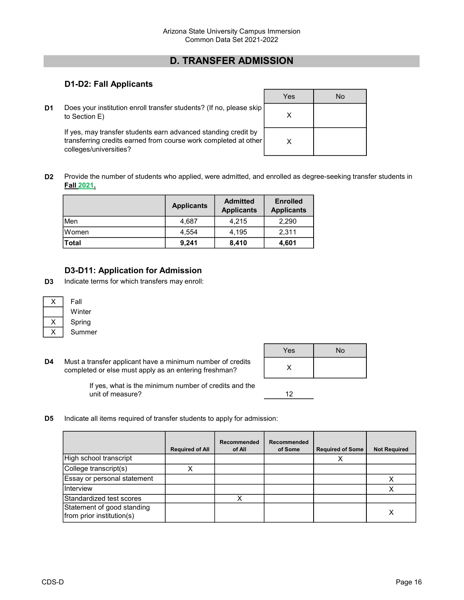# D. TRANSFER ADMISSION

## D1-D2: Fall Applicants

D<sub>1</sub> Does your institution enroll transfer students? (If no, please skip to Section E)

If yes, may transfer students earn advanced standing credit by transferring credits earned from course work completed at other colleges/universities?

| Yes | No |
|-----|----|
| X   |    |
| Χ   |    |

D2 Provide the number of students who applied, were admitted, and enrolled as degree-seeking transfer students in Fall 2021.

|              | <b>Applicants</b> | <b>Admitted</b><br><b>Applicants</b> | <b>Enrolled</b><br><b>Applicants</b> |  |
|--------------|-------------------|--------------------------------------|--------------------------------------|--|
| Men          | 4.687             | 4.215                                | 2,290                                |  |
| lWomen       | 4.554             | 4.195                                | 2,311                                |  |
| <b>Total</b> | 9,241             | 8,410                                | 4,601                                |  |

## D3-D11: Application for Admission

D3 Indicate terms for which transfers may enroll:

| Fall   |  |
|--------|--|
| Winter |  |
| Spring |  |
| Summer |  |

D4 Must a transfer applicant have a minimum number of credits completed or else must apply as an entering freshman?

| Yes | No |
|-----|----|
|     |    |

If yes, what is the minimum number of credits and the unit of measure?

- 12
- D<sub>5</sub> Indicate all items required of transfer students to apply for admission:

|                                                         | <b>Required of All</b> | <b>Recommended</b><br>of All | Recommended<br>of Some | <b>Required of Some</b> | <b>Not Required</b> |
|---------------------------------------------------------|------------------------|------------------------------|------------------------|-------------------------|---------------------|
| High school transcript                                  |                        |                              |                        |                         |                     |
| College transcript(s)                                   |                        |                              |                        |                         |                     |
| Essay or personal statement                             |                        |                              |                        |                         |                     |
| Interview                                               |                        |                              |                        |                         |                     |
| Standardized test scores                                |                        |                              |                        |                         |                     |
| Statement of good standing<br>from prior institution(s) |                        |                              |                        |                         |                     |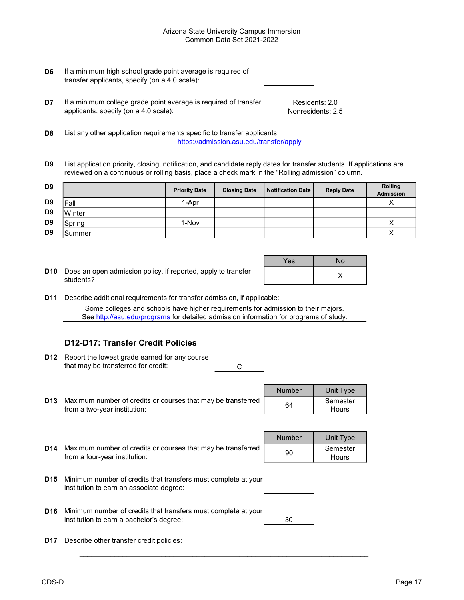#### Arizona State University Campus Immersion Common Data Set 2021-2022

- D6 If a minimum high school grade point average is required of transfer applicants, specify (on a 4.0 scale):
- **D7** If a minimum college grade point average is required of transfer applicants, specify (on a 4.0 scale):

Residents: 2.0 Nonresidents: 2.5

- D<sub>8</sub> List any other application requirements specific to transfer applicants: https://admission.asu.edu/transfer/apply
- D9 List application priority, closing, notification, and candidate reply dates for transfer students. If applications are reviewed on a continuous or rolling basis, place a check mark in the "Rolling admission" column.

| D <sub>9</sub> |        | <b>Priority Date</b> | <b>Closing Date</b> | <b>Notification Date</b> | <b>Reply Date</b> | <b>Rolling</b><br>Admission |
|----------------|--------|----------------------|---------------------|--------------------------|-------------------|-----------------------------|
| D <sub>9</sub> | Fall   | 1-Apr                |                     |                          |                   |                             |
| D <sub>9</sub> | Winter |                      |                     |                          |                   |                             |
| D <sub>9</sub> | Spring | 1-Nov                |                     |                          |                   |                             |
| D <sub>9</sub> | Summer |                      |                     |                          |                   |                             |

**D10** Does an open admission policy, if reported, apply to transfer  $\begin{bmatrix} x & y \end{bmatrix}$   $\begin{bmatrix} x & z \end{bmatrix}$ students?

| Yes | <b>No</b> |
|-----|-----------|
|     | X         |

D11 Describe additional requirements for transfer admission, if applicable: Some colleges and schools have higher requirements for admission to their majors. See http://asu.edu/programs for detailed admission information for programs of study.

## D12-D17: Transfer Credit Policies

**D12** Report the lowest grade earned for any course C that may be transferred for credit:

|    | <b>Number</b> | Unit Type |
|----|---------------|-----------|
| эd | 64            | Semester  |
|    |               | Hours     |

D13 Maximum number of credits or courses that may be transferred | 64 | Semester from a two-year institution:

|     |                                                              | <b>TAMILINGL</b> | <b>UTTIL TANG</b> |
|-----|--------------------------------------------------------------|------------------|-------------------|
| D14 | Maximum number of credits or courses that may be transferred | 90               | Semester          |
|     | from a four-vear institution:                                |                  | Hours             |

|    | Number | Unit Type |
|----|--------|-----------|
| ed | 90     | Semester  |
|    |        | Hours     |

- D15 Minimum number of credits that transfers must complete at your institution to earn an associate degree:
- D16 Minimum number of credits that transfers must complete at your 30 institution to earn a bachelor's degree:

 $\mathcal{L}_\text{max}$  , and the set of the set of the set of the set of the set of the set of the set of the set of the set of the set of the set of the set of the set of the set of the set of the set of the set of the set of the

D17 Describe other transfer credit policies: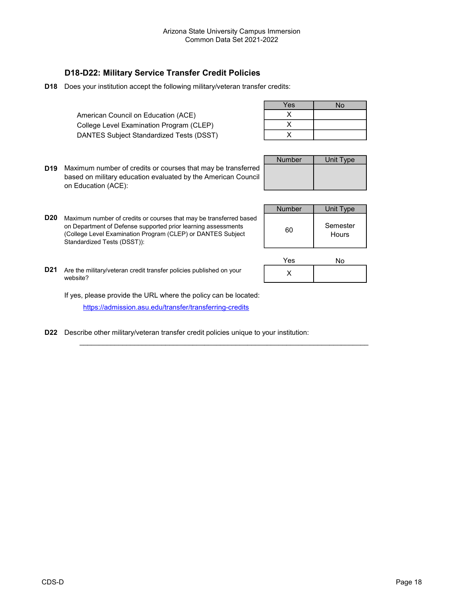## D18-D22: Military Service Transfer Credit Policies

D18 Does your institution accept the following military/veteran transfer credits:

American Council on Education (ACE) College Level Examination Program (CLEP) DANTES Subject Standardized Tests (DSST)

| Yes | No |
|-----|----|
|     |    |
|     |    |
|     |    |

D19 Maximum number of credits or courses that may be transferred based on military education evaluated by the American Council on Education (ACE):

| <b>Number</b> | <b>Unit Type</b> |
|---------------|------------------|
|               |                  |
|               |                  |
|               |                  |

**D20** Maximum number of credits or courses that may be transferred based on Department of Defense supported prior learning assessments (College Level Examination Program (CLEP) or DANTES Subject Standardized Tests (DSST)):

| <b>Number</b> | Unit Type         |
|---------------|-------------------|
| 60            | Semester<br>Hours |

| Yes | No |
|-----|----|
|     |    |

**D21** Are the military/veteran credit transfer policies published on your vebsite?  $\times$ 

If yes, please provide the URL where the policy can be located: https://admission.asu.edu/transfer/transferring-credits

D22 Describe other military/veteran transfer credit policies unique to your institution:

 $\mathcal{L}_\text{max}$  , and the set of the set of the set of the set of the set of the set of the set of the set of the set of the set of the set of the set of the set of the set of the set of the set of the set of the set of the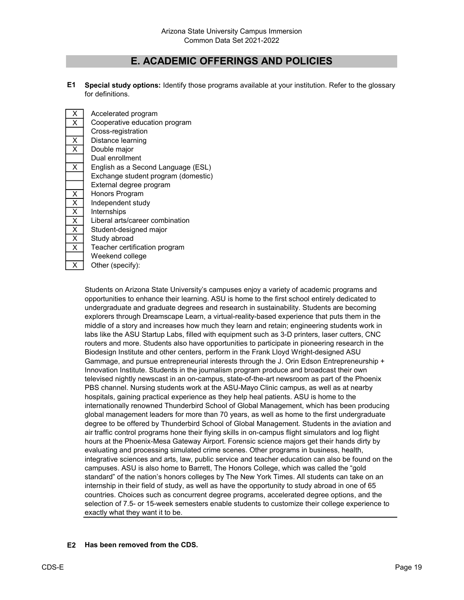## E. ACADEMIC OFFERINGS AND POLICIES

E1 Special study options: Identify those programs available at your institution. Refer to the glossary for definitions.

| X                       | Accelerated program                 |
|-------------------------|-------------------------------------|
| X                       | Cooperative education program       |
|                         | Cross-registration                  |
| X                       | Distance learning                   |
| $\overline{\mathsf{x}}$ | Double major                        |
|                         | Dual enrollment                     |
| X                       | English as a Second Language (ESL)  |
|                         | Exchange student program (domestic) |
|                         | External degree program             |
| Χ                       | Honors Program                      |
| X                       | Independent study                   |
| $\overline{\mathsf{x}}$ | Internships                         |
| $\overline{\mathsf{x}}$ | Liberal arts/career combination     |
| X                       | Student-designed major              |
| X                       | Study abroad                        |
| X                       | Teacher certification program       |
|                         | Weekend college                     |
| x                       | Other (specify):                    |

Students on Arizona State University's campuses enjoy a variety of academic programs and opportunities to enhance their learning. ASU is home to the first school entirely dedicated to undergraduate and graduate degrees and research in sustainability. Students are becoming explorers through Dreamscape Learn, a virtual-reality-based experience that puts them in the middle of a story and increases how much they learn and retain; engineering students work in labs like the ASU Startup Labs, filled with equipment such as 3-D printers, laser cutters, CNC routers and more. Students also have opportunities to participate in pioneering research in the Biodesign Institute and other centers, perform in the Frank Lloyd Wright-designed ASU Gammage, and pursue entrepreneurial interests through the J. Orin Edson Entrepreneurship + Innovation Institute. Students in the journalism program produce and broadcast their own televised nightly newscast in an on-campus, state-of-the-art newsroom as part of the Phoenix PBS channel. Nursing students work at the ASU-Mayo Clinic campus, as well as at nearby hospitals, gaining practical experience as they help heal patients. ASU is home to the internationally renowned Thunderbird School of Global Management, which has been producing global management leaders for more than 70 years, as well as home to the first undergraduate degree to be offered by Thunderbird School of Global Management. Students in the aviation and air traffic control programs hone their flying skills in on-campus flight simulators and log flight hours at the Phoenix-Mesa Gateway Airport. Forensic science majors get their hands dirty by evaluating and processing simulated crime scenes. Other programs in business, health, integrative sciences and arts, law, public service and teacher education can also be found on the campuses. ASU is also home to Barrett, The Honors College, which was called the "gold standard" of the nation's honors colleges by The New York Times. All students can take on an internship in their field of study, as well as have the opportunity to study abroad in one of 65 countries. Choices such as concurrent degree programs, accelerated degree options, and the selection of 7.5- or 15-week semesters enable students to customize their college experience to exactly what they want it to be.

#### E2 Has been removed from the CDS.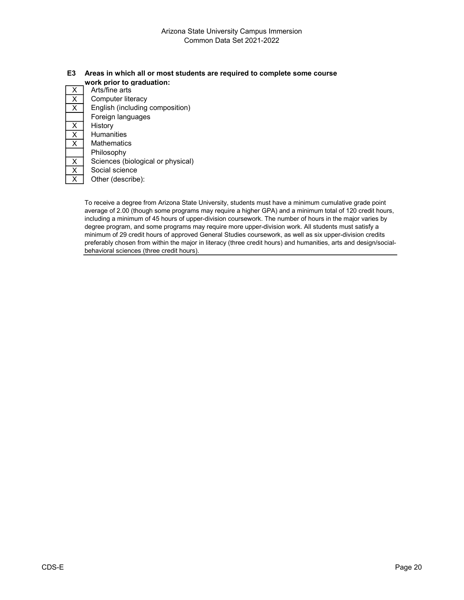# E3 Areas in which all or most students are required to complete some course

|   | work prior to graduation:         |  |  |  |
|---|-----------------------------------|--|--|--|
| X | Arts/fine arts                    |  |  |  |
| Χ | Computer literacy                 |  |  |  |
| X | English (including composition)   |  |  |  |
|   | Foreign languages                 |  |  |  |
| X | History                           |  |  |  |
| X | <b>Humanities</b>                 |  |  |  |
| X | Mathematics                       |  |  |  |
|   | Philosophy                        |  |  |  |
| X | Sciences (biological or physical) |  |  |  |
| X | Social science                    |  |  |  |
| x | Other (describe):                 |  |  |  |
|   |                                   |  |  |  |

To receive a degree from Arizona State University, students must have a minimum cumulative grade point average of 2.00 (though some programs may require a higher GPA) and a minimum total of 120 credit hours, including a minimum of 45 hours of upper-division coursework. The number of hours in the major varies by degree program, and some programs may require more upper-division work. All students must satisfy a minimum of 29 credit hours of approved General Studies coursework, as well as six upper-division credits preferably chosen from within the major in literacy (three credit hours) and humanities, arts and design/socialbehavioral sciences (three credit hours).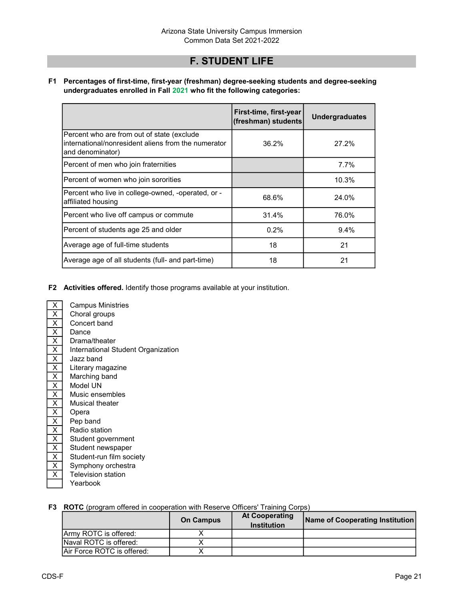## F. STUDENT LIFE

F1 Percentages of first-time, first-year (freshman) degree-seeking students and degree-seeking undergraduates enrolled in Fall 2021 who fit the following categories:

|                                                                                                                       | First-time, first-year<br>(freshman) students | <b>Undergraduates</b> |
|-----------------------------------------------------------------------------------------------------------------------|-----------------------------------------------|-----------------------|
| Percent who are from out of state (exclude<br>International/nonresident aliens from the numerator<br>(and denominator | 36.2%                                         | 27.2%                 |
| Percent of men who join fraternities                                                                                  |                                               | 7.7%                  |
| Percent of women who join sororities                                                                                  |                                               | 10.3%                 |
| Percent who live in college-owned, -operated, or -<br>affiliated housing                                              | 68.6%                                         | 24.0%                 |
| Percent who live off campus or commute                                                                                | 31.4%                                         | 76.0%                 |
| Percent of students age 25 and older                                                                                  | 0.2%                                          | $9.4\%$               |
| Average age of full-time students                                                                                     | 18                                            | 21                    |
| Average age of all students (full- and part-time)                                                                     | 18                                            | 21                    |

- F2 Activities offered. Identify those programs available at your institution.
- $\overline{X}$  Campus Ministries  $\overline{X}$  $\begin{array}{|c|c|}\n \hline\n X & \text{Open} \\
 \hline\n X & \text{Dep} \text{begin}} \\
 \hline\n \end{array}$
- $\overline{X}$  Choral groups<br> $\overline{X}$  Concert band  $\begin{array}{|c|c|}\n\hline\nX & \text{Concert band} \\
\hline\nX & \text{Dance}\n\end{array}$ Dance  $\overline{X}$  Drama/theater  $\begin{array}{|c|c|}\n\hline\nX & \text{Jazz band} \\
\hline\nX & \text{Literary ma}\n\end{array}$ Literary magazine  $\overline{X}$  Marching band<br> $\overline{X}$  Model UN Model UN  $\begin{array}{|c|c|}\n \hline\n X & \text{Music ensembles} \\
 \hline\n X & \text{Musical theater}\n \end{array}$  $\begin{array}{|c|c|}\n\hline\nX & \text{Musical theater} \\
\hline\nX & \text{Opera}\n\end{array}$  $\begin{array}{|c|c|}\n\hline\nX & \text{Pep band} \\
\hline\nX & \text{Radio stat}\n\end{array}$  $\begin{array}{|c|c|}\n\hline\nX & \text{Radio station} \\
\hline\nX & \text{Student go} \\
\hline\n\end{array}$  $\begin{array}{|c|c|}\n\hline\nX & \text{Student government} \\
\hline\nX & \text{Student newspaper}\n\end{array}$ Student newspaper  $\overline{X}$  Student-run film society  $\overline{X}$  Symphony orchestra<br> $\overline{X}$  Television station **Television station** Yearbook International Student Organization

#### F3 ROTC (program offered in cooperation with Reserve Officers' Training Corps)

|                                   | <b>On Campus</b> | <b>At Cooperating</b><br><b>Institution</b> | <b>Name of Cooperating Institution</b> |
|-----------------------------------|------------------|---------------------------------------------|----------------------------------------|
| <b>IArmy ROTC is offered:</b>     |                  |                                             |                                        |
| <b>INaval ROTC is offered:</b>    |                  |                                             |                                        |
| <b>Air Force ROTC is offered:</b> |                  |                                             |                                        |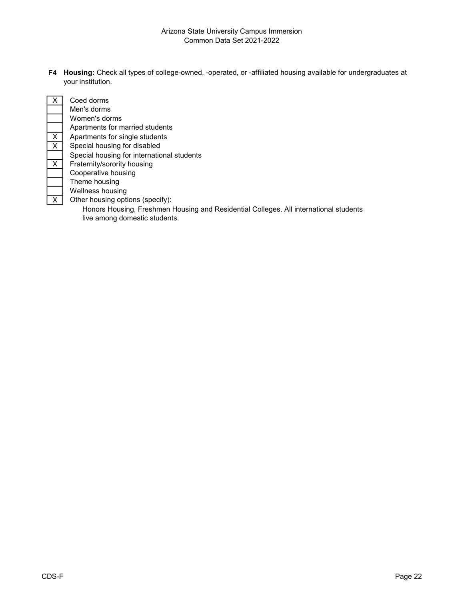F4 Housing: Check all types of college-owned, -operated, or -affiliated housing available for undergraduates at your institution.

|                         | Coed dorms                                                                            |
|-------------------------|---------------------------------------------------------------------------------------|
|                         | Men's dorms                                                                           |
|                         | Women's dorms                                                                         |
|                         | Apartments for married students                                                       |
| $\overline{X}$          | Apartments for single students                                                        |
| $\overline{\mathsf{x}}$ | Special housing for disabled                                                          |
|                         | Special housing for international students                                            |
| $\overline{X}$          | Fraternity/sorority housing                                                           |
|                         | Cooperative housing                                                                   |
|                         | Theme housing                                                                         |
|                         | Wellness housing                                                                      |
| $\mathsf{X}$            | Other housing options (specify):                                                      |
|                         | Honors Housing, Freshmen Housing and Residential Colleges. All international students |

live among domestic students.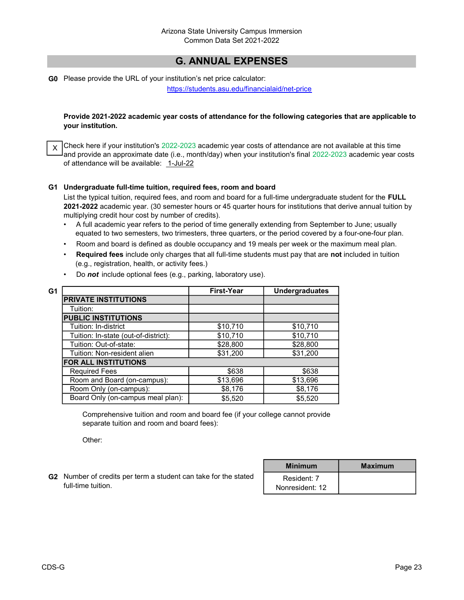# G. ANNUAL EXPENSES

G0 Please provide the URL of your institution's net price calculator:

https://students.asu.edu/financialaid/net-price

#### Provide 2021-2022 academic year costs of attendance for the following categories that are applicable to your institution.

 $\chi$   $\,|$ Check here if your institution's 2022-2023 academic year costs of attendance are not available at this time and provide an approximate date (i.e., month/day) when your institution's final 2022-2023 academic year costs of attendance will be available: 1-Jul-22

#### G1 Undergraduate full-time tuition, required fees, room and board

List the typical tuition, required fees, and room and board for a full-time undergraduate student for the FULL 2021-2022 academic year. (30 semester hours or 45 quarter hours for institutions that derive annual tuition by multiplying credit hour cost by number of credits).

- A full academic year refers to the period of time generally extending from September to June; usually equated to two semesters, two trimesters, three quarters, or the period covered by a four-one-four plan.
- Room and board is defined as double occupancy and 19 meals per week or the maximum meal plan.
- Required fees include only charges that all full-time students must pay that are not included in tuition (e.g., registration, health, or activity fees.)

| G1 |                                      | <b>First-Year</b> | <b>Undergraduates</b> |
|----|--------------------------------------|-------------------|-----------------------|
|    | <b>PRIVATE INSTITUTIONS</b>          |                   |                       |
|    | Tuition:                             |                   |                       |
|    | <b>PUBLIC INSTITUTIONS</b>           |                   |                       |
|    | Tuition: In-district                 | \$10,710          | \$10,710              |
|    | Tuition: In-state (out-of-district): | \$10,710          | \$10,710              |
|    | Tuition: Out-of-state:               | \$28,800          | \$28,800              |
|    | Tuition: Non-resident alien          | \$31,200          | \$31,200              |
|    | <b>FOR ALL INSTITUTIONS</b>          |                   |                       |
|    | <b>Required Fees</b>                 | \$638             | \$638                 |
|    | Room and Board (on-campus):          | \$13,696          | \$13,696              |
|    | Room Only (on-campus):               | \$8,176           | \$8,176               |
|    | Board Only (on-campus meal plan):    | \$5,520           | \$5,520               |

• Do not include optional fees (e.g., parking, laboratory use).

Comprehensive tuition and room and board fee (if your college cannot provide separate tuition and room and board fees):

Other:

G2 Number of credits per term a student can take for the stated | Resident: 7 full-time tuition.

| <b>Minimum</b>                 | <b>Maximum</b> |
|--------------------------------|----------------|
| Resident: 7<br>Nonresident: 12 |                |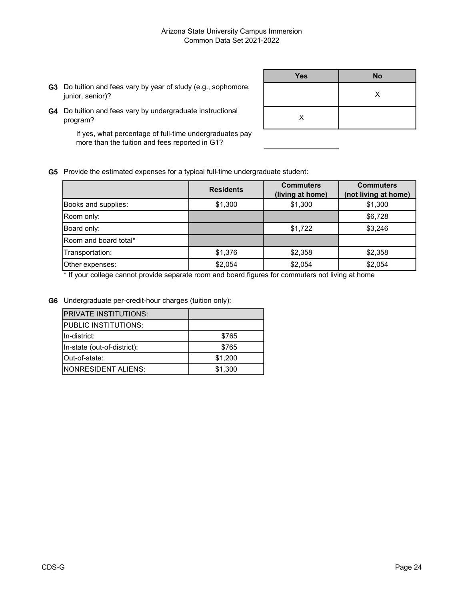G3 Do tuition and fees vary by year of study (e.g., sophomore, junior, senior)?

| <b>Yes</b> | <b>No</b> |
|------------|-----------|
|            | X         |
| X          |           |

G4 Do tuition and fees vary by undergraduate instructional program?

> If yes, what percentage of full-time undergraduates pay more than the tuition and fees reported in G1?

G5 Provide the estimated expenses for a typical full-time undergraduate student:

|                              | <b>Residents</b> | <b>Commuters</b><br>(living at home) | <b>Commuters</b><br>(not living at home) |
|------------------------------|------------------|--------------------------------------|------------------------------------------|
| Books and supplies:          | \$1,300          | \$1,300                              | \$1,300                                  |
| Room only:                   |                  |                                      | \$6,728                                  |
| Board only:                  |                  | \$1,722                              | \$3,246                                  |
| <b>Room and board total*</b> |                  |                                      |                                          |
| Transportation:              | \$1,376          | \$2,358                              | \$2,358                                  |
| Other expenses:              | \$2,054          | \$2,054                              | \$2,054                                  |

\* If your college cannot provide separate room and board figures for commuters not living at home

G6 Undergraduate per-credit-hour charges (tuition only):

| IPRIVATE INSTITUTIONS:      |         |
|-----------------------------|---------|
| PUBLIC INSTITUTIONS:        |         |
| IIn-district:               | \$765   |
| In-state (out-of-district): | \$765   |
| IOut-of-state:              | \$1,200 |
| INONRESIDENT ALIENS:        | \$1,300 |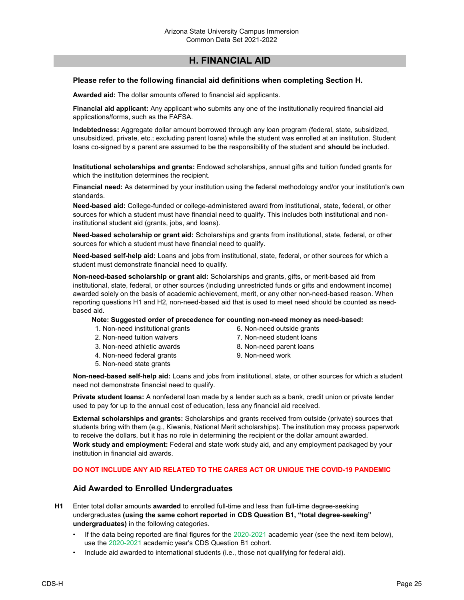## H. FINANCIAL AID

#### Please refer to the following financial aid definitions when completing Section H.

Awarded aid: The dollar amounts offered to financial aid applicants.

Financial aid applicant: Any applicant who submits any one of the institutionally required financial aid applications/forms, such as the FAFSA.

Indebtedness: Aggregate dollar amount borrowed through any loan program (federal, state, subsidized, unsubsidized, private, etc.; excluding parent loans) while the student was enrolled at an institution. Student loans co-signed by a parent are assumed to be the responsibility of the student and should be included.

Institutional scholarships and grants: Endowed scholarships, annual gifts and tuition funded grants for which the institution determines the recipient.

Financial need: As determined by your institution using the federal methodology and/or your institution's own standards.

Need-based aid: College-funded or college-administered award from institutional, state, federal, or other sources for which a student must have financial need to qualify. This includes both institutional and noninstitutional student aid (grants, jobs, and loans).

Need-based scholarship or grant aid: Scholarships and grants from institutional, state, federal, or other sources for which a student must have financial need to qualify.

Need-based self-help aid: Loans and jobs from institutional, state, federal, or other sources for which a student must demonstrate financial need to qualify.

Non-need-based scholarship or grant aid: Scholarships and grants, gifts, or merit-based aid from institutional, state, federal, or other sources (including unrestricted funds or gifts and endowment income) awarded solely on the basis of academic achievement, merit, or any other non-need-based reason. When reporting questions H1 and H2, non-need-based aid that is used to meet need should be counted as needbased aid.

#### Note: Suggested order of precedence for counting non-need money as need-based:

- 1. Non-need institutional grants
- 2. Non-need tuition waivers
- 3. Non-need athletic awards
- 4. Non-need federal grants
- 5. Non-need state grants
- 6. Non-need outside grants
- 7. Non-need student loans
- 8. Non-need parent loans
- 9. Non-need work

Non-need-based self-help aid: Loans and jobs from institutional, state, or other sources for which a student need not demonstrate financial need to qualify.

Private student loans: A nonfederal loan made by a lender such as a bank, credit union or private lender used to pay for up to the annual cost of education, less any financial aid received.

External scholarships and grants: Scholarships and grants received from outside (private) sources that students bring with them (e.g., Kiwanis, National Merit scholarships). The institution may process paperwork to receive the dollars, but it has no role in determining the recipient or the dollar amount awarded. Work study and employment: Federal and state work study aid, and any employment packaged by your institution in financial aid awards.

#### DO NOT INCLUDE ANY AID RELATED TO THE CARES ACT OR UNIQUE THE COVID-19 PANDEMIC

#### Aid Awarded to Enrolled Undergraduates

H1 Enter total dollar amounts awarded to enrolled full-time and less than full-time degree-seeking undergraduates (using the same cohort reported in CDS Question B1, "total degree-seeking" undergraduates) in the following categories.

- If the data being reported are final figures for the 2020-2021 academic year (see the next item below), use the 2020-2021 academic year's CDS Question B1 cohort.
- Include aid awarded to international students (i.e., those not qualifying for federal aid).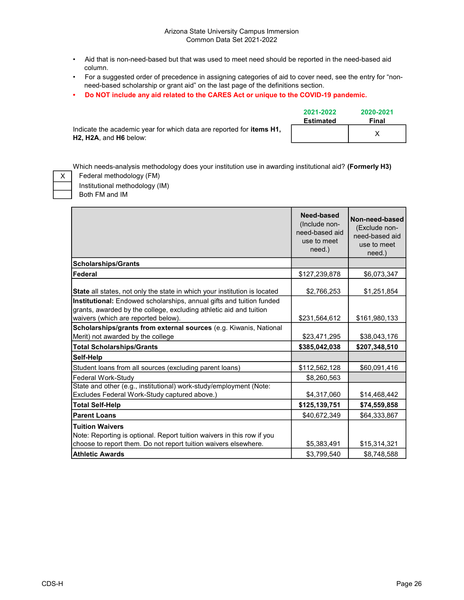#### Arizona State University Campus Immersion Common Data Set 2021-2022

- Aid that is non-need-based but that was used to meet need should be reported in the need-based aid column.
- For a suggested order of precedence in assigning categories of aid to cover need, see the entry for "non need-based scholarship or grant aid" on the last page of the definitions section.
- Do NOT include any aid related to the CARES Act or unique to the COVID-19 pandemic.

|                                                                              | 2021-2022 | 2020-2021 |  |
|------------------------------------------------------------------------------|-----------|-----------|--|
|                                                                              | Estimated | Final     |  |
| Indicate the academic year for which data are reported for <b>items H1</b> , |           |           |  |
| <b>H2. H2A.</b> and H6 below:                                                |           |           |  |

Which needs-analysis methodology does your institution use in awarding institutional aid? (Formerly H3)

X

Both FM and IM Federal methodology (FM) Institutional methodology (IM)

|                                                                                                                                                                                   | Need-based<br>(Include non-<br>need-based aid<br>use to meet<br>need.) | Non-need-based<br>(Exclude non-<br>need-based aid<br>use to meet<br>need.) |
|-----------------------------------------------------------------------------------------------------------------------------------------------------------------------------------|------------------------------------------------------------------------|----------------------------------------------------------------------------|
| <b>Scholarships/Grants</b>                                                                                                                                                        |                                                                        |                                                                            |
| Federal                                                                                                                                                                           | \$127,239,878                                                          | \$6,073,347                                                                |
| State all states, not only the state in which your institution is located                                                                                                         | \$2,766,253                                                            | \$1,251,854                                                                |
| Institutional: Endowed scholarships, annual gifts and tuition funded<br>grants, awarded by the college, excluding athletic aid and tuition<br>waivers (which are reported below). | \$231,564,612                                                          | \$161,980,133                                                              |
| Scholarships/grants from external sources (e.g. Kiwanis, National<br>Merit) not awarded by the college                                                                            | \$23,471,295                                                           | \$38,043,176                                                               |
| <b>Total Scholarships/Grants</b>                                                                                                                                                  | \$385,042,038                                                          | \$207,348,510                                                              |
| Self-Help                                                                                                                                                                         |                                                                        |                                                                            |
| Student loans from all sources (excluding parent loans)                                                                                                                           | \$112,562,128                                                          | \$60,091,416                                                               |
| Federal Work-Study                                                                                                                                                                | \$8,260,563                                                            |                                                                            |
| State and other (e.g., institutional) work-study/employment (Note:<br>Excludes Federal Work-Study captured above.)                                                                | \$4,317,060                                                            | \$14,468,442                                                               |
| <b>Total Self-Help</b>                                                                                                                                                            | \$125,139,751                                                          | \$74,559,858                                                               |
| <b>Parent Loans</b>                                                                                                                                                               | \$40,672,349                                                           | \$64,333,867                                                               |
| <b>Tuition Waivers</b><br>Note: Reporting is optional. Report tuition waivers in this row if you<br>choose to report them. Do not report tuition waivers elsewhere.               | \$5,383,491                                                            | \$15,314,321                                                               |
| <b>Athletic Awards</b>                                                                                                                                                            | \$3,799,540                                                            | \$8,748,588                                                                |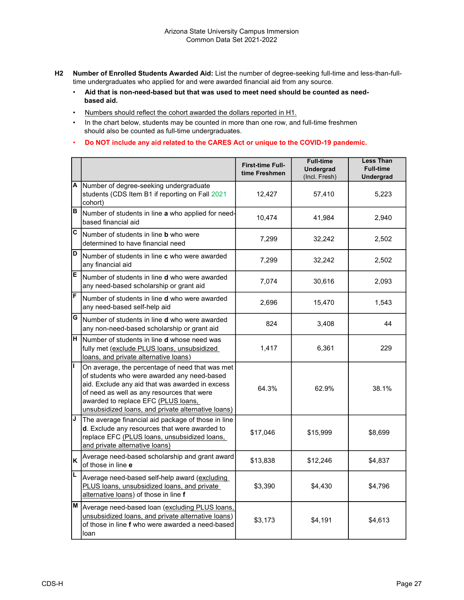- H2 Number of Enrolled Students Awarded Aid: List the number of degree-seeking full-time and less-than-fulltime undergraduates who applied for and were awarded financial aid from any source.
	- Aid that is non-need-based but that was used to meet need should be counted as need based aid.
	- Numbers should reflect the cohort awarded the dollars reported in H1.
	- In the chart below, students may be counted in more than one row, and full-time freshmen should also be counted as full-time undergraduates.
	- Do NOT include any aid related to the CARES Act or unique to the COVID-19 pandemic.

|                         |                                                                                                                                                                                                                                                                                              | <b>First-time Full-</b><br>time Freshmen | <b>Full-time</b><br><b>Undergrad</b><br>(Incl. Fresh) | <b>Less Than</b><br><b>Full-time</b><br><b>Undergrad</b> |
|-------------------------|----------------------------------------------------------------------------------------------------------------------------------------------------------------------------------------------------------------------------------------------------------------------------------------------|------------------------------------------|-------------------------------------------------------|----------------------------------------------------------|
| Α                       | Number of degree-seeking undergraduate<br>students (CDS Item B1 if reporting on Fall 2021<br>cohort)                                                                                                                                                                                         | 12,427                                   | 57,410                                                | 5,223                                                    |
| B                       | Number of students in line a who applied for need-<br>based financial aid                                                                                                                                                                                                                    | 10,474                                   | 41,984                                                | 2,940                                                    |
| $\overline{\mathbf{c}}$ | Number of students in line <b>b</b> who were<br>determined to have financial need                                                                                                                                                                                                            | 7,299                                    | 32,242                                                | 2,502                                                    |
| $\overline{\mathsf{D}}$ | Number of students in line <b>c</b> who were awarded<br>any financial aid                                                                                                                                                                                                                    | 7,299                                    | 32,242                                                | 2,502                                                    |
| E                       | Number of students in line <b>d</b> who were awarded<br>any need-based scholarship or grant aid                                                                                                                                                                                              | 7,074                                    | 30,616                                                | 2,093                                                    |
| F                       | Number of students in line <b>d</b> who were awarded<br>any need-based self-help aid                                                                                                                                                                                                         | 2,696                                    | 15,470                                                | 1,543                                                    |
| G                       | Number of students in line <b>d</b> who were awarded<br>any non-need-based scholarship or grant aid                                                                                                                                                                                          | 824                                      | 3,408                                                 | 44                                                       |
| $\overline{H}$          | Number of students in line <b>d</b> whose need was<br>fully met (exclude PLUS loans, unsubsidized<br>loans, and private alternative loans)                                                                                                                                                   | 1,417                                    | 6,361                                                 | 229                                                      |
| ī                       | On average, the percentage of need that was met<br>of students who were awarded any need-based<br>aid. Exclude any aid that was awarded in excess<br>of need as well as any resources that were<br>awarded to replace EFC (PLUS loans,<br>unsubsidized loans, and private alternative loans) | 64.3%                                    | 62.9%                                                 | 38.1%                                                    |
| J                       | The average financial aid package of those in line<br>d. Exclude any resources that were awarded to<br>replace EFC (PLUS loans, unsubsidized loans,<br>and private alternative loans)                                                                                                        | \$17,046                                 | \$15,999                                              | \$8,699                                                  |
| K                       | Average need-based scholarship and grant award<br>of those in line e                                                                                                                                                                                                                         | \$13,838                                 | \$12,246                                              | \$4,837                                                  |
| L                       | Average need-based self-help award (excluding<br>PLUS loans, unsubsidized loans, and private<br>alternative loans) of those in line f                                                                                                                                                        | \$3,390                                  | \$4,430                                               | \$4,796                                                  |
| M                       | Average need-based loan (excluding PLUS loans,<br>unsubsidized loans, and private alternative loans)<br>of those in line f who were awarded a need-based<br>loan                                                                                                                             | \$3,173                                  | \$4,191                                               | \$4,613                                                  |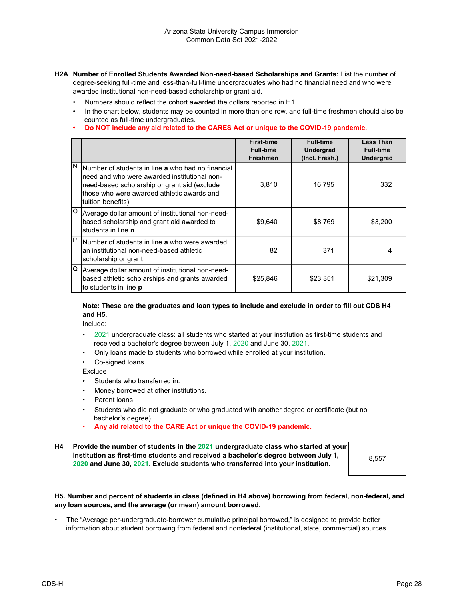- H2A Number of Enrolled Students Awarded Non-need-based Scholarships and Grants: List the number of degree-seeking full-time and less-than-full-time undergraduates who had no financial need and who were awarded institutional non-need-based scholarship or grant aid.
	- Numbers should reflect the cohort awarded the dollars reported in H1.
	- In the chart below, students may be counted in more than one row, and full-time freshmen should also be counted as full-time undergraduates.
	- Do NOT include any aid related to the CARES Act or unique to the COVID-19 pandemic.

|     |                                                                                                                                                                                                                              | <b>First-time</b><br><b>Full-time</b><br><b>Freshmen</b> | <b>Full-time</b><br><b>Undergrad</b><br>(Incl. Fresh.) | <b>Less Than</b><br><b>Full-time</b><br><b>Undergrad</b> |
|-----|------------------------------------------------------------------------------------------------------------------------------------------------------------------------------------------------------------------------------|----------------------------------------------------------|--------------------------------------------------------|----------------------------------------------------------|
| IN. | Number of students in line <b>a</b> who had no financial<br>need and who were awarded institutional non-<br>need-based scholarship or grant aid (exclude<br>those who were awarded athletic awards and<br>Ituition benefits) | 3,810                                                    | 16,795                                                 | 332                                                      |
| lo  | Average dollar amount of institutional non-need-<br>based scholarship and grant aid awarded to<br>students in line <b>n</b>                                                                                                  | \$9,640                                                  | \$8,769                                                | \$3,200                                                  |
| IP  | Number of students in line a who were awarded<br>an institutional non-need-based athletic<br>scholarship or grant                                                                                                            | 82                                                       | 371                                                    |                                                          |
| lQ. | Average dollar amount of institutional non-need-<br>based athletic scholarships and grants awarded<br>to students in line <b>p</b>                                                                                           | \$25,846                                                 | \$23,351                                               | \$21,309                                                 |

#### Note: These are the graduates and loan types to include and exclude in order to fill out CDS H4 and H5.

Include:

- 2021 undergraduate class: all students who started at your institution as first-time students and received a bachelor's degree between July 1, 2020 and June 30, 2021.
- Only loans made to students who borrowed while enrolled at your institution.
- Co-signed loans.

Exclude

- Students who transferred in.
- Money borrowed at other institutions.
- Parent loans
- Students who did not graduate or who graduated with another degree or certificate (but no bachelor's degree).
- Any aid related to the CARE Act or unique the COVID-19 pandemic.
- H4 Provide the number of students in the 2021 undergraduate class who started at your institution as first-time students and received a bachelor's degree between July 1, 2020 and June 30, 2021. Exclude students who transferred into your institution.

8,557

#### H5. Number and percent of students in class (defined in H4 above) borrowing from federal, non-federal, and any loan sources, and the average (or mean) amount borrowed.

• The "Average per-undergraduate-borrower cumulative principal borrowed," is designed to provide better information about student borrowing from federal and nonfederal (institutional, state, commercial) sources.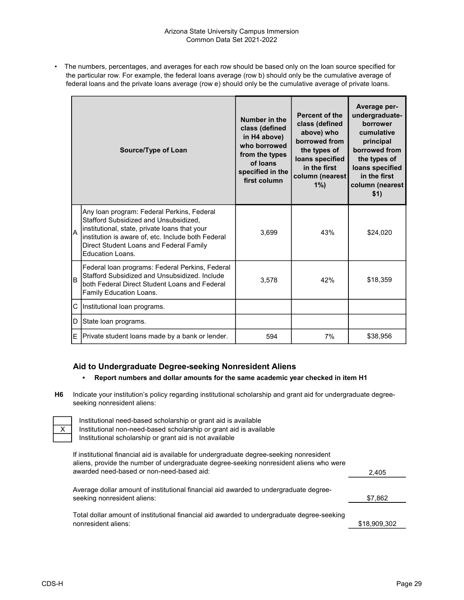• The numbers, percentages, and averages for each row should be based only on the loan source specified for the particular row. For example, the federal loans average (row b) should only be the cumulative average of federal loans and the private loans average (row e) should only be the cumulative average of private loans.

| Source/Type of Loan |                                                                                                                                                                                                                                                           | Number in the<br>class (defined<br>in H4 above)<br>who borrowed<br>from the types<br>of loans<br>specified in the<br>first column | Percent of the<br>class (defined<br>above) who<br>borrowed from<br>the types of<br>loans specified<br>in the first<br>column (nearest)<br>$1\%$ | Average per-<br>undergraduate-<br>borrower<br>cumulative<br>principal<br>borrowed from<br>the types of<br>loans specified<br>in the first<br>column (nearest<br>\$1) |
|---------------------|-----------------------------------------------------------------------------------------------------------------------------------------------------------------------------------------------------------------------------------------------------------|-----------------------------------------------------------------------------------------------------------------------------------|-------------------------------------------------------------------------------------------------------------------------------------------------|----------------------------------------------------------------------------------------------------------------------------------------------------------------------|
| lA.                 | Any Ioan program: Federal Perkins, Federal<br>Stafford Subsidized and Unsubsidized,<br>institutional, state, private loans that your<br>institution is aware of, etc. Include both Federal<br>Direct Student Loans and Federal Family<br>Education Loans. | 3,699                                                                                                                             | 43%                                                                                                                                             | \$24,020                                                                                                                                                             |
| lB.                 | Federal loan programs: Federal Perkins, Federal<br>Stafford Subsidized and Unsubsidized, Include<br>both Federal Direct Student Loans and Federal<br>Family Education Loans.                                                                              | 3,578                                                                                                                             | 42%                                                                                                                                             | \$18,359                                                                                                                                                             |
|                     | C Institutional loan programs.                                                                                                                                                                                                                            |                                                                                                                                   |                                                                                                                                                 |                                                                                                                                                                      |
| D                   | State loan programs.                                                                                                                                                                                                                                      |                                                                                                                                   |                                                                                                                                                 |                                                                                                                                                                      |
|                     | $E$ Private student loans made by a bank or lender.                                                                                                                                                                                                       | 594                                                                                                                               | 7%                                                                                                                                              | \$38,956                                                                                                                                                             |

## Aid to Undergraduate Degree-seeking Nonresident Aliens

#### • Report numbers and dollar amounts for the same academic year checked in item H1

H6 Indicate your institution's policy regarding institutional scholarship and grant aid for undergraduate degreeseeking nonresident aliens:

Institutional need-based scholarship or grant aid is available Institutional non-need-based scholarship or grant aid is available

Institutional scholarship or grant aid is not available

2,405 If institutional financial aid is available for undergraduate degree-seeking nonresident aliens, provide the number of undergraduate degree-seeking nonresident aliens who were awarded need-based or non-need-based aid:

Average dollar amount of institutional financial aid awarded to undergraduate degreeseeking nonresident aliens:

\$18,909,302 Total dollar amount of institutional financial aid awarded to undergraduate degree-seeking nonresident aliens:

\$7,862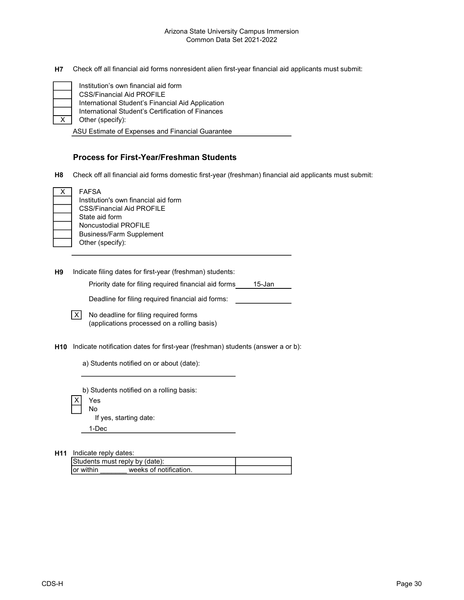H7 Check off all financial aid forms nonresident alien first-year financial aid applicants must submit:

International Student's Certification of Finances Other (specify): CSS/Financial Aid PROFILE International Student's Financial Aid Application Institution's own financial aid form

ASU Estimate of Expenses and Financial Guarantee

## Process for First-Year/Freshman Students

H8 Check off all financial aid forms domestic first-year (freshman) financial aid applicants must submit:

| x | <b>FAFSA</b>                         |
|---|--------------------------------------|
|   |                                      |
|   | Institution's own financial aid form |
|   | <b>CSS/Financial Aid PROFILE</b>     |
|   | State aid form                       |
|   | <b>Noncustodial PROFILE</b>          |
|   | <b>Business/Farm Supplement</b>      |
|   | Other (specify):                     |
|   |                                      |

H9 Indicate filing dates for first-year (freshman) students:

Priority date for filing required financial aid forms 15-Jan

Deadline for filing required financial aid forms:

| $\boxed{X}$ No deadline for filing required forms |  |  |
|---------------------------------------------------|--|--|
| (applications processed on a rolling basis)       |  |  |

- H10 Indicate notification dates for first-year (freshman) students (answer a or b):
	- a) Students notified on or about (date):

b) Students notified on a rolling basis:

X<sup>Yes</sup> No

If yes, starting date:

1-Dec

H11 Indicate reply dates:

| Students must reply by (date): |                        |  |
|--------------------------------|------------------------|--|
| Tor within                     | weeks of notification. |  |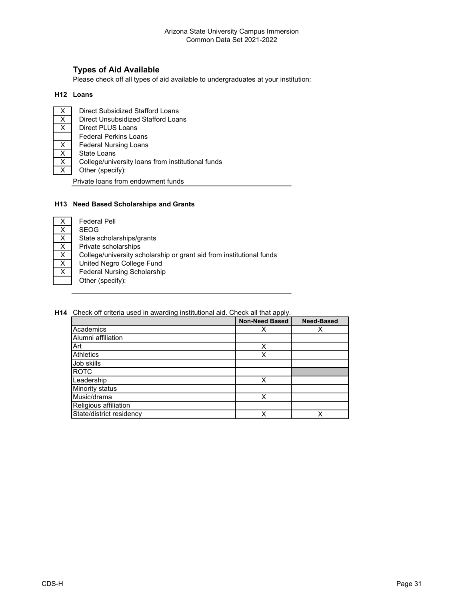## Types of Aid Available

Please check off all types of aid available to undergraduates at your institution:

#### H12 Loans

 $\overline{X}$ X  $\overline{X}$  $\overline{X}$ X  $\overline{X}$ X Other (specify): Direct Subsidized Stafford Loans Direct Unsubsidized Stafford Loans Direct PLUS Loans Private loans from endowment funds Federal Nursing Loans State Loans College/university loans from institutional funds Federal Perkins Loans

#### H13 Need Based Scholarships and Grants

| X                       | <b>Federal Pell</b>                                                  |
|-------------------------|----------------------------------------------------------------------|
| $\underline{x}$         | <b>SEOG</b>                                                          |
| $\overline{\mathsf{x}}$ | State scholarships/grants                                            |
| X                       | Private scholarships                                                 |
| X                       | College/university scholarship or grant aid from institutional funds |
| X                       | United Negro College Fund                                            |
| X                       | <b>Federal Nursing Scholarship</b>                                   |
|                         | Other (specify):                                                     |
|                         |                                                                      |

H14 Check off criteria used in awarding institutional aid. Check all that apply.

|                          | <b>Non-Need Based</b> | <b>Need-Based</b> |
|--------------------------|-----------------------|-------------------|
| Academics                |                       |                   |
| Alumni affiliation       |                       |                   |
| lArt                     | x                     |                   |
| <b>Athletics</b>         | X                     |                   |
| <b>Job skills</b>        |                       |                   |
| <b>ROTC</b>              |                       |                   |
| Leadership               | Χ                     |                   |
| <b>Minority status</b>   |                       |                   |
| Music/drama              | x                     |                   |
| Religious affiliation    |                       |                   |
| State/district residency | x                     | ✓                 |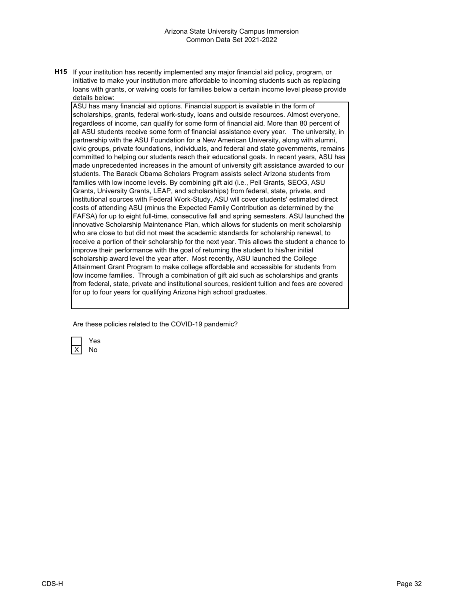H15 If your institution has recently implemented any major financial aid policy, program, or initiative to make your institution more affordable to incoming students such as replacing loans with grants, or waiving costs for families below a certain income level please provide details below:

ASU has many financial aid options. Financial support is available in the form of scholarships, grants, federal work-study, loans and outside resources. Almost everyone, regardless of income, can qualify for some form of financial aid. More than 80 percent of all ASU students receive some form of financial assistance every year. The university, in partnership with the ASU Foundation for a New American University, along with alumni, civic groups, private foundations, individuals, and federal and state governments, remains committed to helping our students reach their educational goals. In recent years, ASU has made unprecedented increases in the amount of university gift assistance awarded to our students. The Barack Obama Scholars Program assists select Arizona students from families with low income levels. By combining gift aid (i.e., Pell Grants, SEOG, ASU Grants, University Grants, LEAP, and scholarships) from federal, state, private, and institutional sources with Federal Work-Study, ASU will cover students' estimated direct costs of attending ASU (minus the Expected Family Contribution as determined by the FAFSA) for up to eight full-time, consecutive fall and spring semesters. ASU launched the innovative Scholarship Maintenance Plan, which allows for students on merit scholarship who are close to but did not meet the academic standards for scholarship renewal, to receive a portion of their scholarship for the next year. This allows the student a chance to improve their performance with the goal of returning the student to his/her initial scholarship award level the year after. Most recently, ASU launched the College Attainment Grant Program to make college affordable and accessible for students from low income families. Through a combination of gift aid such as scholarships and grants from federal, state, private and institutional sources, resident tuition and fees are covered for up to four years for qualifying Arizona high school graduates.

Are these policies related to the COVID-19 pandemic?

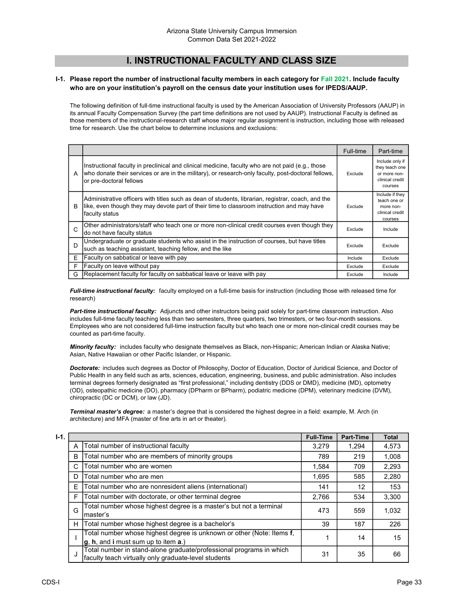## I. INSTRUCTIONAL FACULTY AND CLASS SIZE

#### I-1. Please report the number of instructional faculty members in each category for Fall 2021. Include faculty who are on your institution's payroll on the census date your institution uses for IPEDS/AAUP.

The following definition of full-time instructional faculty is used by the American Association of University Professors (AAUP) in its annual Faculty Compensation Survey (the part time definitions are not used by AAUP). Instructional Faculty is defined as those members of the instructional-research staff whose major regular assignment is instruction, including those with released time for research. Use the chart below to determine inclusions and exclusions:

|   |                                                                                                                                                                                                                                     | Full-time | Part-time                                                                       |
|---|-------------------------------------------------------------------------------------------------------------------------------------------------------------------------------------------------------------------------------------|-----------|---------------------------------------------------------------------------------|
| A | Instructional faculty in preclinical and clinical medicine, faculty who are not paid (e.g., those<br>who donate their services or are in the military), or research-only faculty, post-doctoral fellows,<br>or pre-doctoral fellows | Exclude   | Include only if<br>they teach one<br>or more non-<br>clinical credit<br>courses |
| в | Administrative officers with titles such as dean of students, librarian, registrar, coach, and the<br>like, even though they may devote part of their time to classroom instruction and may have<br>faculty status                  | Exclude   | Include if they<br>teach one or<br>more non-<br>clinical credit<br>courses      |
| C | Other administrators/staff who teach one or more non-clinical credit courses even though they<br>do not have faculty status                                                                                                         | Exclude   | Include                                                                         |
| D | Undergraduate or graduate students who assist in the instruction of courses, but have titles<br>such as teaching assistant, teaching fellow, and the like                                                                           | Exclude   | Exclude                                                                         |
| E | Faculty on sabbatical or leave with pay                                                                                                                                                                                             | Include   | Exclude                                                                         |
| F | Faculty on leave without pay                                                                                                                                                                                                        | Exclude   | Exclude                                                                         |
| G | Replacement faculty for faculty on sabbatical leave or leave with pay                                                                                                                                                               | Exclude   | Include                                                                         |

Full-time instructional faculty: faculty employed on a full-time basis for instruction (including those with released time for research)

Part-time instructional faculty: Adjuncts and other instructors being paid solely for part-time classroom instruction. Also includes full-time faculty teaching less than two semesters, three quarters, two trimesters, or two four-month sessions. Employees who are not considered full-time instruction faculty but who teach one or more non-clinical credit courses may be counted as part-time faculty.

Minority faculty: includes faculty who designate themselves as Black, non-Hispanic; American Indian or Alaska Native; Asian, Native Hawaiian or other Pacific Islander, or Hispanic.

Doctorate: includes such degrees as Doctor of Philosophy, Doctor of Education, Doctor of Juridical Science, and Doctor of Public Health in any field such as arts, sciences, education, engineering, business, and public administration. Also includes terminal degrees formerly designated as "first professional," including dentistry (DDS or DMD), medicine (MD), optometry (OD), osteopathic medicine (DO), pharmacy (DPharm or BPharm), podiatric medicine (DPM), veterinary medicine (DVM), chiropractic (DC or DCM), or law (JD).

Terminal master's degree: a master's degree that is considered the highest degree in a field: example, M. Arch (in architecture) and MFA (master of fine arts in art or theater).

| $I-1.$ |    |                                                                                                                             | <b>Full-Time</b> | Part-Time | <b>Total</b> |
|--------|----|-----------------------------------------------------------------------------------------------------------------------------|------------------|-----------|--------------|
|        | A  | Total number of instructional faculty                                                                                       | 3,279            | 1,294     | 4,573        |
|        | B  | Total number who are members of minority groups                                                                             | 789              | 219       | 1,008        |
|        | C  | Total number who are women                                                                                                  | 1,584            | 709       | 2,293        |
|        | D  | Total number who are men                                                                                                    | 1,695            | 585       | 2,280        |
|        | E. | Total number who are nonresident aliens (international)                                                                     | 141              | 12        | 153          |
|        | F  | Total number with doctorate, or other terminal degree                                                                       | 2,766            | 534       | 3,300        |
|        | G  | Total number whose highest degree is a master's but not a terminal<br>master's                                              | 473              | 559       | 1,032        |
|        | н  | Total number whose highest degree is a bachelor's                                                                           | 39               | 187       | 226          |
|        |    | Total number whose highest degree is unknown or other (Note: Items f,<br>$g, h,$ and i must sum up to item $a$ .)           |                  | 14        | 15           |
|        |    | Total number in stand-alone graduate/professional programs in which<br>faculty teach virtually only graduate-level students | 31               | 35        | 66           |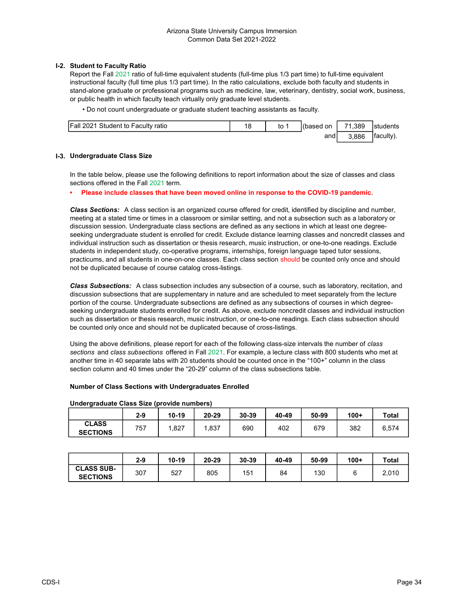#### I-2. Student to Faculty Ratio

Report the Fall 2021 ratio of full-time equivalent students (full-time plus 1/3 part time) to full-time equivalent instructional faculty (full time plus 1/3 part time). In the ratio calculations, exclude both faculty and students in stand-alone graduate or professional programs such as medicine, law, veterinary, dentistry, social work, business, or public health in which faculty teach virtually only graduate level students.

• Do not count undergraduate or graduate student teaching assistants as faculty.

| <b>Fall 2021 Student to Faculty ratio</b> | to | l(based on | 71.389 | Istudents  |
|-------------------------------------------|----|------------|--------|------------|
|                                           |    | and        | .886   | Ifaculty). |

#### I-3. Undergraduate Class Size

In the table below, please use the following definitions to report information about the size of classes and class sections offered in the Fall 2021 term.

• Please include classes that have been moved online in response to the COVID-19 pandemic.

Class Sections: A class section is an organized course offered for credit, identified by discipline and number, meeting at a stated time or times in a classroom or similar setting, and not a subsection such as a laboratory or discussion session. Undergraduate class sections are defined as any sections in which at least one degreeseeking undergraduate student is enrolled for credit. Exclude distance learning classes and noncredit classes and individual instruction such as dissertation or thesis research, music instruction, or one-to-one readings. Exclude students in independent study, co-operative programs, internships, foreign language taped tutor sessions, practicums, and all students in one-on-one classes. Each class section should be counted only once and should not be duplicated because of course catalog cross-listings.

Class Subsections: A class subsection includes any subsection of a course, such as laboratory, recitation, and discussion subsections that are supplementary in nature and are scheduled to meet separately from the lecture portion of the course. Undergraduate subsections are defined as any subsections of courses in which degreeseeking undergraduate students enrolled for credit. As above, exclude noncredit classes and individual instruction such as dissertation or thesis research, music instruction, or one-to-one readings. Each class subsection should be counted only once and should not be duplicated because of cross-listings.

Using the above definitions, please report for each of the following class-size intervals the number of class sections and class subsections offered in Fall 2021. For example, a lecture class with 800 students who met at another time in 40 separate labs with 20 students should be counted once in the "100+" column in the class section column and 40 times under the "20-29" column of the class subsections table.

#### Number of Class Sections with Undergraduates Enrolled

#### Undergraduate Class Size (provide numbers)

|                                 | $2 - 9$ | 10-19 | 20-29 | 30-39 | 40-49 | 50-99 | $100+$ | Total |
|---------------------------------|---------|-------|-------|-------|-------|-------|--------|-------|
| <b>CLASS</b><br><b>SECTIONS</b> | 757     | .827  | .837  | 690   | 402   | 679   | 382    | 6,574 |

|                                      | $2 - 9$ | $10 - 19$ | 20-29 | 30-39 | 40-49 | 50-99 | $100+$ | Total |
|--------------------------------------|---------|-----------|-------|-------|-------|-------|--------|-------|
| <b>CLASS SUB-</b><br><b>SECTIONS</b> | 307     | 527       | 805   | 151   | 84    | 130   |        | 2,010 |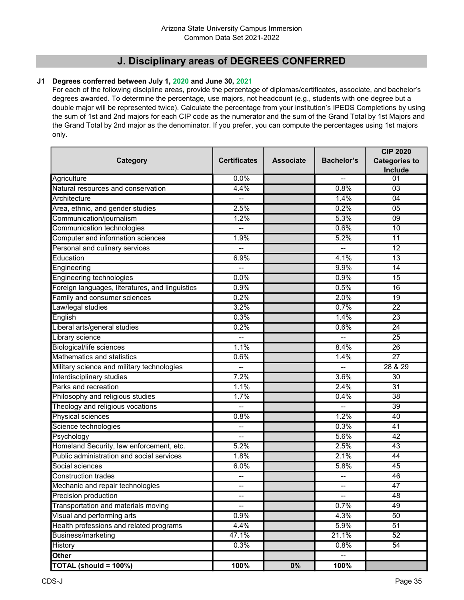## J. Disciplinary areas of DEGREES CONFERRED

## J1 Degrees conferred between July 1, 2020 and June 30, 2021

For each of the following discipline areas, provide the percentage of diplomas/certificates, associate, and bachelor's degrees awarded. To determine the percentage, use majors, not headcount (e.g., students with one degree but a double major will be represented twice). Calculate the percentage from your institution's IPEDS Completions by using the sum of 1st and 2nd majors for each CIP code as the numerator and the sum of the Grand Total by 1st Majors and the Grand Total by 2nd major as the denominator. If you prefer, you can compute the percentages using 1st majors only.

|                                                   |                     |                  |                          | <b>CIP 2020</b>      |  |
|---------------------------------------------------|---------------------|------------------|--------------------------|----------------------|--|
| Category                                          | <b>Certificates</b> | <b>Associate</b> | <b>Bachelor's</b>        | <b>Categories to</b> |  |
|                                                   |                     |                  |                          | Include              |  |
| Agriculture<br>Natural resources and conservation | 0.0%<br>4.4%        |                  | 0.8%                     | 01                   |  |
|                                                   |                     |                  |                          | 03                   |  |
| Architecture                                      | 2.5%                |                  | 1.4%                     | 04                   |  |
| Area, ethnic, and gender studies                  | 1.2%                |                  | 0.2%<br>5.3%             | 05                   |  |
| Communication/journalism                          |                     |                  |                          | 09                   |  |
| Communication technologies                        |                     |                  | 0.6%                     | $\overline{10}$      |  |
| Computer and information sciences                 | 1.9%                |                  | 5.2%                     | 11                   |  |
| Personal and culinary services                    | --                  |                  |                          | 12                   |  |
| Education                                         | 6.9%                |                  | 4.1%                     | $\overline{13}$      |  |
| Engineering                                       | --                  |                  | 9.9%                     | $\overline{14}$      |  |
| Engineering technologies                          | 0.0%                |                  | 0.9%                     | 15                   |  |
| Foreign languages, literatures, and linguistics   | 0.9%                |                  | 0.5%                     | $\overline{16}$      |  |
| Family and consumer sciences                      | 0.2%                |                  | 2.0%                     | 19                   |  |
| Law/legal studies                                 | 3.2%                |                  | 0.7%                     | 22                   |  |
| English                                           | 0.3%                |                  | 1.4%                     | $\overline{23}$      |  |
| Liberal arts/general studies                      | 0.2%                |                  | 0.6%                     | $\overline{24}$      |  |
| Library science                                   |                     |                  |                          | $\overline{25}$      |  |
| <b>Biological/life sciences</b>                   | 1.1%                |                  | 8.4%                     | $\overline{26}$      |  |
| Mathematics and statistics                        | 0.6%                |                  | 1.4%                     | $\overline{27}$      |  |
| Military science and military technologies        |                     |                  |                          | 28 & 29              |  |
| Interdisciplinary studies                         | 7.2%                |                  | 3.6%                     | $\overline{30}$      |  |
| Parks and recreation                              | 1.1%                |                  | 2.4%                     | $\overline{31}$      |  |
| Philosophy and religious studies                  | 1.7%                |                  | 0.4%                     | $\overline{38}$      |  |
| Theology and religious vocations                  |                     |                  |                          | $\overline{39}$      |  |
| Physical sciences                                 | 0.8%                |                  | 1.2%                     | 40                   |  |
| Science technologies                              | --                  |                  | 0.3%                     | 41                   |  |
| Psychology                                        | $- -$               |                  | 5.6%                     | 42                   |  |
| Homeland Security, law enforcement, etc.          | 5.2%                |                  | 2.5%                     | 43                   |  |
| Public administration and social services         | 1.8%                |                  | 2.1%                     | 44                   |  |
| Social sciences                                   | 6.0%                |                  | 5.8%                     | 45                   |  |
| <b>Construction trades</b>                        | --                  |                  | --                       | 46                   |  |
| Mechanic and repair technologies                  | --                  |                  | --                       | 47                   |  |
| Precision production                              | --                  |                  | $\overline{\phantom{a}}$ | 48                   |  |
| Transportation and materials moving               |                     |                  | 0.7%                     | 49                   |  |
| Visual and performing arts                        | 0.9%                |                  | 4.3%                     | 50                   |  |
| Health professions and related programs           | 4.4%                |                  | 5.9%                     | 51                   |  |
| <b>Business/marketing</b>                         | 47.1%               |                  | 21.1%                    | 52                   |  |
| History                                           | 0.3%                |                  | 0.8%                     | 54                   |  |
| <b>Other</b>                                      |                     |                  |                          |                      |  |
| TOTAL (should = 100%)                             | 100%                | $0\%$            | 100%                     |                      |  |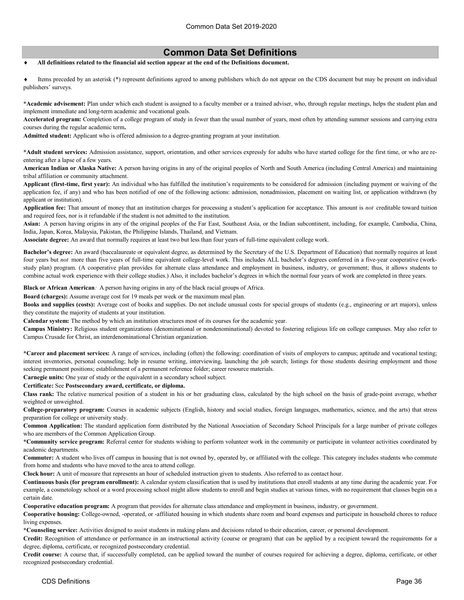## Common Data Set Definitions

#### All definitions related to the financial aid section appear at the end of the Definitions document.

 Items preceded by an asterisk (\*) represent definitions agreed to among publishers which do not appear on the CDS document but may be present on individual publishers' surveys.

\*Academic advisement: Plan under which each student is assigned to a faculty member or a trained adviser, who, through regular meetings, helps the student plan and implement immediate and long-term academic and vocational goals.

Accelerated program: Completion of a college program of study in fewer than the usual number of years, most often by attending summer sessions and carrying extra courses during the regular academic term.

Admitted student: Applicant who is offered admission to a degree-granting program at your institution.

\*Adult student services: Admission assistance, support, orientation, and other services expressly for adults who have started college for the first time, or who are reentering after a lapse of a few years.

American Indian or Alaska Native: A person having origins in any of the original peoples of North and South America (including Central America) and maintaining tribal affiliation or community attachment.

Applicant (first-time, first year): An individual who has fulfilled the institution's requirements to be considered for admission (including payment or waiving of the application fee, if any) and who has been notified of one of the following actions: admission, nonadmission, placement on waiting list, or application withdrawn (by applicant or institution).

Application fee: That amount of money that an institution charges for processing a student's application for acceptance. This amount is not creditable toward tuition and required fees, nor is it refundable if the student is not admitted to the institution.

Asian: A person having origins in any of the original peoples of the Far East, Southeast Asia, or the Indian subcontinent, including, for example, Cambodia, China, India, Japan, Korea, Malaysia, Pakistan, the Philippine Islands, Thailand, and Vietnam.

Associate degree: An award that normally requires at least two but less than four years of full-time equivalent college work.

Bachelor's degree: An award (baccalaureate or equivalent degree, as determined by the Secretary of the U.S. Department of Education) that normally requires at least four years but not more than five years of full-time equivalent college-level work. This includes ALL bachelor's degrees conferred in a five-year cooperative (workstudy plan) program. (A cooperative plan provides for alternate class attendance and employment in business, industry, or government; thus, it allows students to combine actual work experience with their college studies.) Also, it includes bachelor's degrees in which the normal four years of work are completed in three years.

Black or African American: A person having origins in any of the black racial groups of Africa.

Board (charges): Assume average cost for 19 meals per week or the maximum meal plan.

Books and supplies (costs): Average cost of books and supplies. Do not include unusual costs for special groups of students (e.g., engineering or art majors), unless they constitute the majority of students at your institution.

Calendar system: The method by which an institution structures most of its courses for the academic year.

Campus Ministry: Religious student organizations (denominational or nondenominational) devoted to fostering religious life on college campuses. May also refer to Campus Crusade for Christ, an interdenominational Christian organization.

\*Career and placement services: A range of services, including (often) the following: coordination of visits of employers to campus; aptitude and vocational testing; interest inventories, personal counseling; help in resume writing, interviewing, launching the job search; listings for those students desiring employment and those seeking permanent positions; establishment of a permanent reference folder; career resource materials.

Carnegie units: One year of study or the equivalent in a secondary school subject.

#### Certificate: See Postsecondary award, certificate, or diploma.

Class rank: The relative numerical position of a student in his or her graduating class, calculated by the high school on the basis of grade-point average, whether weighted or unweighted.

College-preparatory program: Courses in academic subjects (English, history and social studies, foreign languages, mathematics, science, and the arts) that stress preparation for college or university study.

Common Application: The standard application form distributed by the National Association of Secondary School Principals for a large number of private colleges who are members of the Common Application Group.

\*Community service program: Referral center for students wishing to perform volunteer work in the community or participate in volunteer activities coordinated by academic departments.

Commuter: A student who lives off campus in housing that is not owned by, operated by, or affiliated with the college. This category includes students who commute from home and students who have moved to the area to attend college.

Clock hour: A unit of measure that represents an hour of scheduled instruction given to students. Also referred to as contact hour.

Continuous basis (for program enrollment): A calendar system classification that is used by institutions that enroll students at any time during the academic year. For example, a cosmetology school or a word processing school might allow students to enroll and begin studies at various times, with no requirement that classes begin on a certain date.

Cooperative education program: A program that provides for alternate class attendance and employment in business, industry, or government.

Cooperative housing: College-owned, -operated, or -affiliated housing in which students share room and board expenses and participate in household chores to reduce living expenses.

\*Counseling service: Activities designed to assist students in making plans and decisions related to their education, career, or personal development.

Credit: Recognition of attendance or performance in an instructional activity (course or program) that can be applied by a recipient toward the requirements for a degree, diploma, certificate, or recognized postsecondary credential.

Credit course: A course that, if successfully completed, can be applied toward the number of courses required for achieving a degree, diploma, certificate, or other recognized postsecondary credential.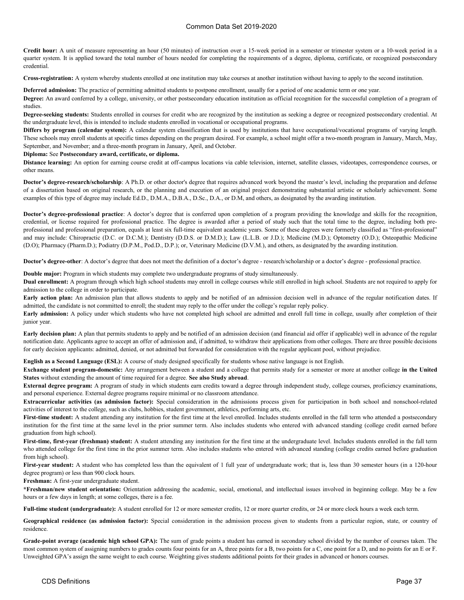Credit hour: A unit of measure representing an hour (50 minutes) of instruction over a 15-week period in a semester or trimester system or a 10-week period in a quarter system. It is applied toward the total number of hours needed for completing the requirements of a degree, diploma, certificate, or recognized postsecondary credential.

Cross-registration: A system whereby students enrolled at one institution may take courses at another institution without having to apply to the second institution.

Deferred admission: The practice of permitting admitted students to postpone enrollment, usually for a period of one academic term or one year.

Degree: An award conferred by a college, university, or other postsecondary education institution as official recognition for the successful completion of a program of studies.

Degree-seeking students: Students enrolled in courses for credit who are recognized by the institution as seeking a degree or recognized postsecondary credential. At the undergraduate level, this is intended to include students enrolled in vocational or occupational programs.

Differs by program (calendar system): A calendar system classification that is used by institutions that have occupational/vocational programs of varying length. These schools may enroll students at specific times depending on the program desired. For example, a school might offer a two-month program in January, March, May, September, and November; and a three-month program in January, April, and October.

#### Diploma: See Postsecondary award, certificate, or diploma.

Distance learning: An option for earning course credit at off-campus locations via cable television, internet, satellite classes, videotapes, correspondence courses, or other means.

Doctor's degree-research/scholarship: A Ph.D. or other doctor's degree that requires advanced work beyond the master's level, including the preparation and defense of a dissertation based on original research, or the planning and execution of an original project demonstrating substantial artistic or scholarly achievement. Some examples of this type of degree may include Ed.D., D.M.A., D.B.A., D.Sc., D.A., or D.M, and others, as designated by the awarding institution.

Doctor's degree-professional practice: A doctor's degree that is conferred upon completion of a program providing the knowledge and skills for the recognition, credential, or license required for professional practice. The degree is awarded after a period of study such that the total time to the degree, including both preprofessional and professional preparation, equals at least six full-time equivalent academic years. Some of these degrees were formerly classified as "first-professional" and may include: Chiropractic (D.C. or D.C.M.); Dentistry (D.D.S. or D.M.D.); Law (L.L.B. or J.D.); Medicine (M.D.); Optometry (O.D.); Osteopathic Medicine (D.O); Pharmacy (Pharm.D.); Podiatry (D.P.M., Pod.D., D.P.); or, Veterinary Medicine (D.V.M.), and others, as designated by the awarding institution.

Doctor's degree-other: A doctor's degree that does not meet the definition of a doctor's degree - research/scholarship or a doctor's degree - professional practice.

Double major: Program in which students may complete two undergraduate programs of study simultaneously.

Dual enrollment: A program through which high school students may enroll in college courses while still enrolled in high school. Students are not required to apply for admission to the college in order to participate.

Early action plan: An admission plan that allows students to apply and be notified of an admission decision well in advance of the regular notification dates. If admitted, the candidate is not committed to enroll; the student may reply to the offer under the college's regular reply policy.

Early admission: A policy under which students who have not completed high school are admitted and enroll full time in college, usually after completion of their junior year.

Early decision plan: A plan that permits students to apply and be notified of an admission decision (and financial aid offer if applicable) well in advance of the regular notification date. Applicants agree to accept an offer of admission and, if admitted, to withdraw their applications from other colleges. There are three possible decisions for early decision applicants: admitted, denied, or not admitted but forwarded for consideration with the regular applicant pool, without prejudice.

English as a Second Language (ESL): A course of study designed specifically for students whose native language is not English.

Exchange student program-domestic: Any arrangement between a student and a college that permits study for a semester or more at another college in the United States without extending the amount of time required for a degree. See also Study abroad.

External degree program: A program of study in which students earn credits toward a degree through independent study, college courses, proficiency examinations, and personal experience. External degree programs require minimal or no classroom attendance.

Extracurricular activities (as admission factor): Special consideration in the admissions process given for participation in both school and nonschool-related activities of interest to the college, such as clubs, hobbies, student government, athletics, performing arts, etc.

First-time student: A student attending any institution for the first time at the level enrolled. Includes students enrolled in the fall term who attended a postsecondary institution for the first time at the same level in the prior summer term. Also includes students who entered with advanced standing (college credit earned before graduation from high school).

First-time, first-year (freshman) student: A student attending any institution for the first time at the undergraduate level. Includes students enrolled in the fall term who attended college for the first time in the prior summer term. Also includes students who entered with advanced standing (college credits earned before graduation from high school).

First-year student: A student who has completed less than the equivalent of 1 full year of undergraduate work; that is, less than 30 semester hours (in a 120-hour degree program) or less than 900 clock hours.

Freshman: A first-year undergraduate student.

\*Freshman/new student orientation: Orientation addressing the academic, social, emotional, and intellectual issues involved in beginning college. May be a few hours or a few days in length; at some colleges, there is a fee.

Full-time student (undergraduate): A student enrolled for 12 or more semester credits, 12 or more quarter credits, or 24 or more clock hours a week each term.

Geographical residence (as admission factor): Special consideration in the admission process given to students from a particular region, state, or country of residence.

Grade-point average (academic high school GPA): The sum of grade points a student has earned in secondary school divided by the number of courses taken. The most common system of assigning numbers to grades counts four points for an A, three points for a B, two points for a C, one point for a D, and no points for an E or F. Unweighted GPA's assign the same weight to each course. Weighting gives students additional points for their grades in advanced or honors courses.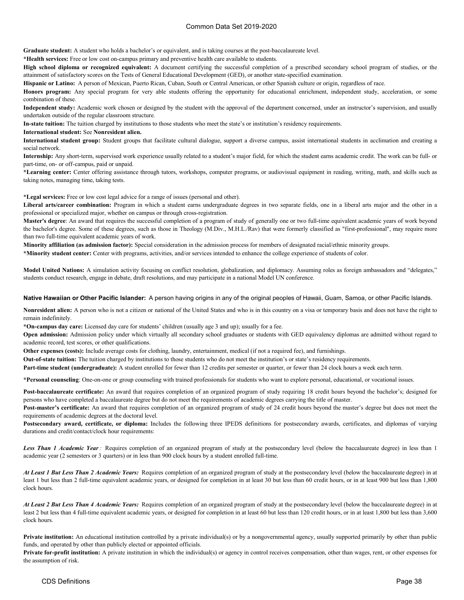Graduate student: A student who holds a bachelor's or equivalent, and is taking courses at the post-baccalaureate level.

\*Health services: Free or low cost on-campus primary and preventive health care available to students.

High school diploma or recognized equivalent: A document certifying the successful completion of a prescribed secondary school program of studies, or the attainment of satisfactory scores on the Tests of General Educational Development (GED), or another state-specified examination.

Hispanic or Latino: A person of Mexican, Puerto Rican, Cuban, South or Central American, or other Spanish culture or origin, regardless of race.

Honors program: Any special program for very able students offering the opportunity for educational enrichment, independent study, acceleration, or some combination of these.

Independent study: Academic work chosen or designed by the student with the approval of the department concerned, under an instructor's supervision, and usually undertaken outside of the regular classroom structure.

In-state tuition: The tuition charged by institutions to those students who meet the state's or institution's residency requirements.

#### International student: See Nonresident alien.

International student group: Student groups that facilitate cultural dialogue, support a diverse campus, assist international students in acclimation and creating a social network.

Internship: Any short-term, supervised work experience usually related to a student's major field, for which the student earns academic credit. The work can be full- or part-time, on- or off-campus, paid or unpaid.

\*Learning center: Center offering assistance through tutors, workshops, computer programs, or audiovisual equipment in reading, writing, math, and skills such as taking notes, managing time, taking tests.

\*Legal services: Free or low cost legal advice for a range of issues (personal and other).

Liberal arts/career combination: Program in which a student earns undergraduate degrees in two separate fields, one in a liberal arts major and the other in a professional or specialized major, whether on campus or through cross-registration.

Master's degree: An award that requires the successful completion of a program of study of generally one or two full-time equivalent academic years of work beyond the bachelor's degree. Some of these degrees, such as those in Theology (M.Div., M.H.L./Rav) that were formerly classified as "first-professional", may require more than two full-time equivalent academic years of work.

Minority affiliation (as admission factor): Special consideration in the admission process for members of designated racial/ethnic minority groups.

\*Minority student center: Center with programs, activities, and/or services intended to enhance the college experience of students of color.

Model United Nations: A simulation activity focusing on conflict resolution, globalization, and diplomacy. Assuming roles as foreign ambassadors and "delegates," students conduct research, engage in debate, draft resolutions, and may participate in a national Model UN conference.

#### Native Hawaiian or Other Pacific Islander: A person having origins in any of the original peoples of Hawaii, Guam, Samoa, or other Pacific Islands.

Nonresident alien: A person who is not a citizen or national of the United States and who is in this country on a visa or temporary basis and does not have the right to remain indefinitely.

\*On-campus day care: Licensed day care for students' children (usually age 3 and up); usually for a fee.

Open admission: Admission policy under which virtually all secondary school graduates or students with GED equivalency diplomas are admitted without regard to academic record, test scores, or other qualifications.

Other expenses (costs): Include average costs for clothing, laundry, entertainment, medical (if not a required fee), and furnishings.

Out-of-state tuition: The tuition charged by institutions to those students who do not meet the institution's or state's residency requirements.

Part-time student (undergraduate): A student enrolled for fewer than 12 credits per semester or quarter, or fewer than 24 clock hours a week each term.

\*Personal counseling: One-on-one or group counseling with trained professionals for students who want to explore personal, educational, or vocational issues.

Post-baccalaureate certificate: An award that requires completion of an organized program of study requiring 18 credit hours beyond the bachelor's; designed for persons who have completed a baccalaureate degree but do not meet the requirements of academic degrees carrying the title of master.

Post-master's certificate: An award that requires completion of an organized program of study of 24 credit hours beyond the master's degree but does not meet the requirements of academic degrees at the doctoral level.

Postsecondary award, certificate, or diploma: Includes the following three IPEDS definitions for postsecondary awards, certificates, and diplomas of varying durations and credit/contact/clock hour requirements:

Less Than 1 Academic Year: Requires completion of an organized program of study at the postsecondary level (below the baccalaureate degree) in less than 1 academic year (2 semesters or 3 quarters) or in less than 900 clock hours by a student enrolled full-time.

At Least 1 But Less Than 2 Academic Years: Requires completion of an organized program of study at the postsecondary level (below the baccalaureate degree) in at least 1 but less than 2 full-time equivalent academic years, or designed for completion in at least 30 but less than 60 credit hours, or in at least 900 but less than 1,800 clock hours.

At Least 2 But Less Than 4 Academic Years: Requires completion of an organized program of study at the postsecondary level (below the baccalaureate degree) in at least 2 but less than 4 full-time equivalent academic years, or designed for completion in at least 60 but less than 120 credit hours, or in at least 1,800 but less than 3,600 clock hours.

Private institution: An educational institution controlled by a private individual(s) or by a nongovernmental agency, usually supported primarily by other than public funds, and operated by other than publicly elected or appointed officials.

Private for-profit institution: A private institution in which the individual(s) or agency in control receives compensation, other than wages, rent, or other expenses for the assumption of risk.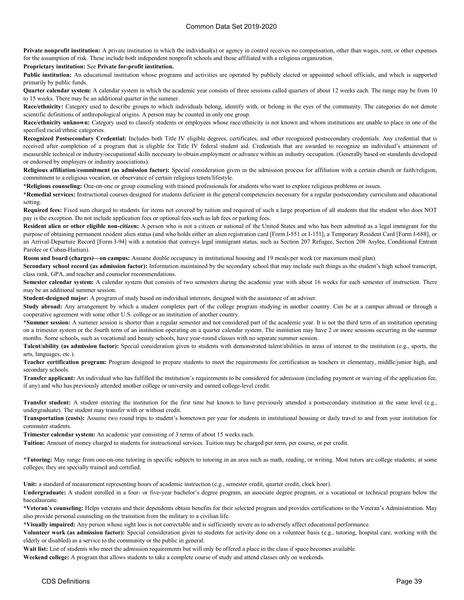Private nonprofit institution: A private institution in which the individual(s) or agency in control receives no compensation, other than wages, rent, or other expenses for the assumption of risk. These include both independent nonprofit schools and those affiliated with a religious organization.

#### Proprietary institution: See Private for-profit institution.

Public institution: An educational institution whose programs and activities are operated by publicly elected or appointed school officials, and which is supported primarily by public funds.

Quarter calendar system: A calendar system in which the academic year consists of three sessions called quarters of about 12 weeks each. The range may be from 10 to 15 weeks. There may be an additional quarter in the summer.

Race/ethnicity: Category used to describe groups to which individuals belong, identify with, or belong in the eyes of the community. The categories do not denote scientific definitions of anthropological origins. A person may be counted in only one group.

Race/ethnicity unknown: Category used to classify students or employees whose race/ethnicity is not known and whom institutions are unable to place in one of the specified racial/ethnic categories.

Recognized Postsecondary Credential: Includes both Title IV eligible degrees, certificates, and other recognized postsecondary credentials. Any credential that is received after completion of a program that is eligible for Title IV federal student aid. Credentials that are awarded to recognize an individual's attainment of measurable technical or industry/occupational skills necessary to obtain employment or advance within an industry occupation. (Generally based on standards developed or endorsed by employers or industry associations).

Religious affiliation/commitment (as admission factor): Special consideration given in the admission process for affiliation with a certain church or faith/religion, commitment to a religious vocation, or observance of certain religious tenets/lifestyle.

\*Religious counseling: One-on-one or group counseling with trained professionals for students who want to explore religious problems or issues.

\*Remedial services: Instructional courses designed for students deficient in the general competencies necessary for a regular postsecondary curriculum and educational setting.

Required fees: Fixed sum charged to students for items not covered by tuition and required of such a large proportion of all students that the student who does NOT pay is the exception. Do not include application fees or optional fees such as lab fees or parking fees.

Resident alien or other eligible non-citizen: A person who is not a citizen or national of the United States and who has been admitted as a legal immigrant for the purpose of obtaining permanent resident alien status (and who holds either an alien registration card [Form I-551 or I-151], a Temporary Resident Card [Form I-688], or an Arrival-Departure Record [Form I-94] with a notation that conveys legal immigrant status, such as Section 207 Refugee, Section 208 Asylee, Conditional Entrant Parolee or Cuban-Haitian).

Room and board (charges)—on campus: Assume double occupancy in institutional housing and 19 meals per week (or maximum meal plan).

Secondary school record (as admission factor): Information maintained by the secondary school that may include such things as the student's high school transcript, class rank, GPA, and teacher and counselor recommendations.

Semester calendar system: A calendar system that consists of two semesters during the academic year with about 16 weeks for each semester of instruction. There may be an additional summer session.

Student-designed major: A program of study based on individual interests, designed with the assistance of an adviser.

Study abroad: Any arrangement by which a student completes part of the college program studying in another country. Can be at a campus abroad or through a cooperative agreement with some other U.S. college or an institution of another country.

\*Summer session: A summer session is shorter than a regular semester and not considered part of the academic year. It is not the third term of an institution operating on a trimester system or the fourth term of an institution operating on a quarter calendar system. The institution may have 2 or more sessions occurring in the summer months. Some schools, such as vocational and beauty schools, have year-round classes with no separate summer session.

Talent/ability (as admission factor): Special consideration given to students with demonstrated talent/abilities in areas of interest to the institution (e.g., sports, the arts, languages, etc.).

Teacher certification program: Program designed to prepare students to meet the requirements for certification as teachers in elementary, middle/junior high, and secondary schools.

Transfer applicant: An individual who has fulfilled the institution's requirements to be considered for admission (including payment or waiving of the application fee, if any) and who has previously attended another college or university and earned college-level credit.

Transfer student: A student entering the institution for the first time but known to have previously attended a postsecondary institution at the same level (e.g., undergraduate). The student may transfer with or without credit.

Transportation (costs): Assume two round trips to student's hometown per year for students in institutional housing or daily travel to and from your institution for commuter students.

Trimester calendar system: An academic year consisting of 3 terms of about 15 weeks each.

Tuition: Amount of money charged to students for instructional services. Tuition may be charged per term, per course, or per credit.

\*Tutoring: May range from one-on-one tutoring in specific subjects to tutoring in an area such as math, reading, or writing. Most tutors are college students; at some colleges, they are specially trained and certified.

Unit: a standard of measurement representing hours of academic instruction (e.g., semester credit, quarter credit, clock hour).

Undergraduate: A student enrolled in a four- or five-year bachelor's degree program, an associate degree program, or a vocational or technical program below the baccalaureate.

\*Veteran's counseling: Helps veterans and their dependents obtain benefits for their selected program and provides certifications to the Veteran's Administration. May also provide personal counseling on the transition from the military to a civilian life.

\*Visually impaired: Any person whose sight loss is not correctable and is sufficiently severe as to adversely affect educational performance.

Volunteer work (as admission factor): Special consideration given to students for activity done on a volunteer basis (e.g., tutoring, hospital care, working with the elderly or disabled) as a service to the community or the public in general.

Wait list: List of students who meet the admission requirements but will only be offered a place in the class if space becomes available.

Weekend college: A program that allows students to take a complete course of study and attend classes only on weekends.